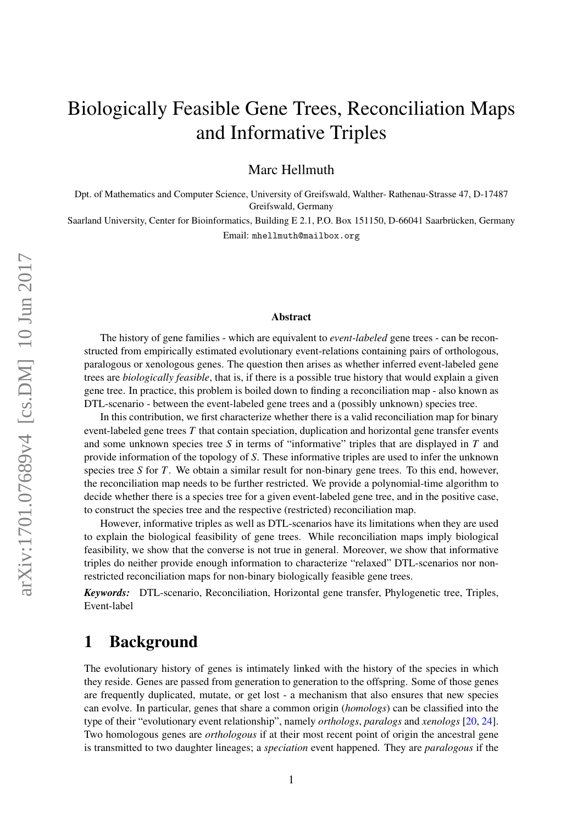# Biologically Feasible Gene Trees, Reconciliation Maps and Informative Triples

Marc Hellmuth

Dpt. of Mathematics and Computer Science, University of Greifswald, Walther- Rathenau-Strasse 47, D-17487 Greifswald, Germany

Saarland University, Center for Bioinformatics, Building E 2.1, P.O. Box 151150, D-66041 Saarbrücken, Germany Email: mhellmuth@mailbox.org

#### Abstract

The history of gene families - which are equivalent to *event-labeled* gene trees - can be reconstructed from empirically estimated evolutionary event-relations containing pairs of orthologous, paralogous or xenologous genes. The question then arises as whether inferred event-labeled gene trees are *biologically feasible*, that is, if there is a possible true history that would explain a given gene tree. In practice, this problem is boiled down to finding a reconciliation map - also known as DTL-scenario - between the event-labeled gene trees and a (possibly unknown) species tree.

In this contribution, we first characterize whether there is a valid reconciliation map for binary event-labeled gene trees *T* that contain speciation, duplication and horizontal gene transfer events and some unknown species tree *S* in terms of "informative" triples that are displayed in *T* and provide information of the topology of *S*. These informative triples are used to infer the unknown species tree *S* for *T*. We obtain a similar result for non-binary gene trees. To this end, however, the reconciliation map needs to be further restricted. We provide a polynomial-time algorithm to decide whether there is a species tree for a given event-labeled gene tree, and in the positive case, to construct the species tree and the respective (restricted) reconciliation map.

However, informative triples as well as DTL-scenarios have its limitations when they are used to explain the biological feasibility of gene trees. While reconciliation maps imply biological feasibility, we show that the converse is not true in general. Moreover, we show that informative triples do neither provide enough information to characterize "relaxed" DTL-scenarios nor nonrestricted reconciliation maps for non-binary biologically feasible gene trees.

*Keywords:* DTL-scenario, Reconciliation, Horizontal gene transfer, Phylogenetic tree, Triples, Event-label

### 1 Background

The evolutionary history of genes is intimately linked with the history of the species in which they reside. Genes are passed from generation to generation to the offspring. Some of those genes are frequently duplicated, mutate, or get lost - a mechanism that also ensures that new species can evolve. In particular, genes that share a common origin (*homologs*) can be classified into the type of their "evolutionary event relationship", namely *orthologs*, *paralogs* and *xenologs* [\[20,](#page-17-0) [24\]](#page-17-1). Two homologous genes are *orthologous* if at their most recent point of origin the ancestral gene is transmitted to two daughter lineages; a *speciation* event happened. They are *paralogous* if the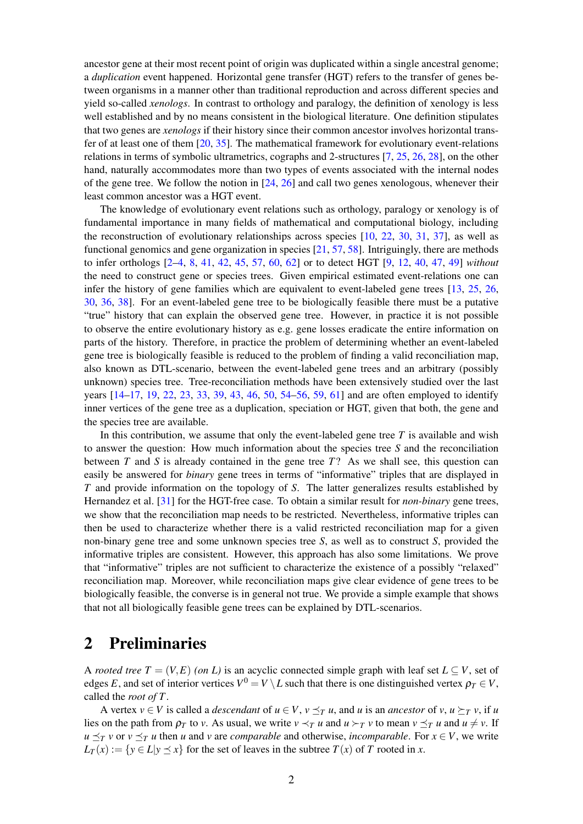ancestor gene at their most recent point of origin was duplicated within a single ancestral genome; a *duplication* event happened. Horizontal gene transfer (HGT) refers to the transfer of genes between organisms in a manner other than traditional reproduction and across different species and yield so-called *xenologs*. In contrast to orthology and paralogy, the definition of xenology is less well established and by no means consistent in the biological literature. One definition stipulates that two genes are *xenologs* if their history since their common ancestor involves horizontal transfer of at least one of them [\[20,](#page-17-0) [35\]](#page-18-0). The mathematical framework for evolutionary event-relations relations in terms of symbolic ultrametrics, cographs and 2-structures [\[7,](#page-16-0) [25,](#page-17-2) [26,](#page-17-3) [28\]](#page-18-1), on the other hand, naturally accommodates more than two types of events associated with the internal nodes of the gene tree. We follow the notion in  $[24, 26]$  $[24, 26]$  $[24, 26]$  and call two genes xenologous, whenever their least common ancestor was a HGT event.

The knowledge of evolutionary event relations such as orthology, paralogy or xenology is of fundamental importance in many fields of mathematical and computational biology, including the reconstruction of evolutionary relationships across species [\[10,](#page-16-1) [22,](#page-17-4) [30,](#page-18-2) [31,](#page-18-3) [37\]](#page-18-4), as well as functional genomics and gene organization in species [\[21,](#page-17-5) [57,](#page-19-0) [58\]](#page-20-0). Intriguingly, there are methods to infer orthologs [\[2](#page-16-2)[–4,](#page-16-3) [8,](#page-16-4) [41,](#page-18-5) [42,](#page-19-1) [45,](#page-19-2) [57,](#page-19-0) [60,](#page-20-1) [62\]](#page-20-2) or to detect HGT [\[9,](#page-16-5) [12,](#page-17-6) [40,](#page-18-6) [47,](#page-19-3) [49\]](#page-19-4) *without* the need to construct gene or species trees. Given empirical estimated event-relations one can infer the history of gene families which are equivalent to event-labeled gene trees [\[13,](#page-17-7) [25,](#page-17-2) [26,](#page-17-3) [30,](#page-18-2) [36,](#page-18-7) [38\]](#page-18-8). For an event-labeled gene tree to be biologically feasible there must be a putative "true" history that can explain the observed gene tree. However, in practice it is not possible to observe the entire evolutionary history as e.g. gene losses eradicate the entire information on parts of the history. Therefore, in practice the problem of determining whether an event-labeled gene tree is biologically feasible is reduced to the problem of finding a valid reconciliation map, also known as DTL-scenario, between the event-labeled gene trees and an arbitrary (possibly unknown) species tree. Tree-reconciliation methods have been extensively studied over the last years [\[14](#page-17-8)[–17,](#page-17-9) [19,](#page-17-10) [22,](#page-17-4) [23,](#page-17-11) [33,](#page-18-9) [39,](#page-18-10) [43,](#page-19-5) [46,](#page-19-6) [50,](#page-19-7) [54](#page-19-8)[–56,](#page-19-9) [59,](#page-20-3) [61\]](#page-20-4) and are often employed to identify inner vertices of the gene tree as a duplication, speciation or HGT, given that both, the gene and the species tree are available.

In this contribution, we assume that only the event-labeled gene tree *T* is available and wish to answer the question: How much information about the species tree *S* and the reconciliation between *T* and *S* is already contained in the gene tree *T*? As we shall see, this question can easily be answered for *binary* gene trees in terms of "informative" triples that are displayed in *T* and provide information on the topology of *S*. The latter generalizes results established by Hernandez et al. [\[31\]](#page-18-3) for the HGT-free case. To obtain a similar result for *non-binary* gene trees, we show that the reconciliation map needs to be restricted. Nevertheless, informative triples can then be used to characterize whether there is a valid restricted reconciliation map for a given non-binary gene tree and some unknown species tree *S*, as well as to construct *S*, provided the informative triples are consistent. However, this approach has also some limitations. We prove that "informative" triples are not sufficient to characterize the existence of a possibly "relaxed" reconciliation map. Moreover, while reconciliation maps give clear evidence of gene trees to be biologically feasible, the converse is in general not true. We provide a simple example that shows that not all biologically feasible gene trees can be explained by DTL-scenarios.

### 2 Preliminaries

A *rooted tree*  $T = (V, E)$  *(on L)* is an acyclic connected simple graph with leaf set  $L \subseteq V$ , set of edges *E*, and set of interior vertices  $V^0 = V \setminus L$  such that there is one distinguished vertex  $\rho_T \in V$ , called the *root of T*.

A vertex  $v \in V$  is called a *descendant* of  $u \in V$ ,  $v \leq_T u$ , and *u* is an *ancestor* of *v*,  $u \succeq_T v$ , if *u* lies on the path from  $\rho_T$  to *v*. As usual, we write  $v \prec_T u$  and  $u \succ_T v$  to mean  $v \preceq_T u$  and  $u \neq v$ . If  $u \leq_T v$  or  $v \leq_T u$  then *u* and *v* are *comparable* and otherwise, *incomparable*. For  $x \in V$ , we write  $L_T(x) := \{y \in L | y \leq x\}$  for the set of leaves in the subtree  $T(x)$  of *T* rooted in *x*.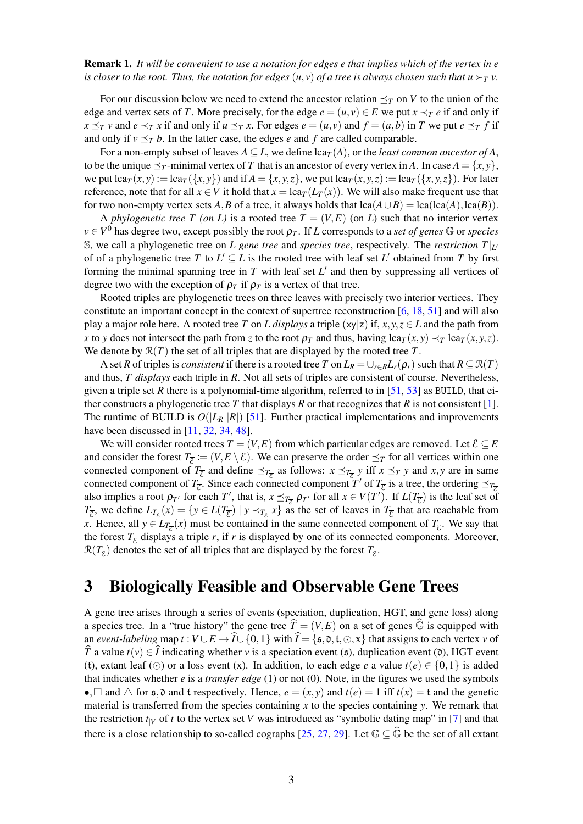Remark 1. *It will be convenient to use a notation for edges e that implies which of the vertex in e is closer to the root. Thus, the notation for edges*  $(u, v)$  *of a tree is always chosen such that*  $u \succ_T v$ .

For our discussion below we need to extend the ancestor relation  $\preceq_T$  on *V* to the union of the edge and vertex sets of *T*. More precisely, for the edge  $e = (u, v) \in E$  we put  $x \prec_T e$  if and only if  $x \leq_T v$  and  $e \leq_T x$  if and only if  $u \leq_T x$ . For edges  $e = (u, v)$  and  $f = (a, b)$  in T we put  $e \leq_T f$  if and only if  $v \leq_T b$ . In the latter case, the edges *e* and *f* are called comparable.

For a non-empty subset of leaves  $A \subseteq L$ , we define  $lca_{T}(A)$ , or the *least common ancestor of A*, to be the unique  $\preceq_T$ -minimal vertex of *T* that is an ancestor of every vertex in *A*. In case  $A = \{x, y\}$ , we put  $\text{lca}_{T}(x, y) := \text{lca}_{T}(\{x, y\})$  and if  $A = \{x, y, z\}$ , we put  $\text{lca}_{T}(x, y, z) := \text{lca}_{T}(\{x, y, z\})$ . For later reference, note that for all  $x \in V$  it hold that  $x = \text{lc}a_T(L_T(x))$ . We will also make frequent use that for two non-empty vertex sets *A*, *B* of a tree, it always holds that  $lca(A \cup B) = lca(lca(A),lca(B)).$ 

A *phylogenetic tree T (on L)* is a rooted tree  $T = (V, E)$  (on *L)* such that no interior vertex  $v \in V^0$  has degree two, except possibly the root  $\rho_T$ . If *L* corresponds to a *set of genes*  $\mathbb G$  or *species* S, we call a phylogenetic tree on *L* gene tree and *species tree*, respectively. The *restriction*  $T|_{L}$ of of a phylogenetic tree *T* to  $L' \subseteq L$  is the rooted tree with leaf set  $L'$  obtained from *T* by first forming the minimal spanning tree in  $T$  with leaf set  $L'$  and then by suppressing all vertices of degree two with the exception of  $\rho_T$  if  $\rho_T$  is a vertex of that tree.

Rooted triples are phylogenetic trees on three leaves with precisely two interior vertices. They constitute an important concept in the context of supertree reconstruction [\[6,](#page-16-6) [18,](#page-17-12) [51\]](#page-19-10) and will also play a major role here. A rooted tree *T* on *L* displays a triple  $(xy|z)$  if,  $x, y, z \in L$  and the path from *x* to *y* does not intersect the path from *z* to the root  $\rho_T$  and thus, having  $lca_T(x, y) \prec_T lca_T(x, y, z)$ . We denote by  $\mathcal{R}(T)$  the set of all triples that are displayed by the rooted tree  $T$ .

A set *R* of triples is *consistent* if there is a rooted tree *T* on  $L_R = \bigcup_{r \in R} L_r(\rho_r)$  such that  $R \subseteq \mathcal{R}(T)$ and thus, *T displays* each triple in *R*. Not all sets of triples are consistent of course. Nevertheless, given a triple set *R* there is a polynomial-time algorithm, referred to in  $[51, 53]$  $[51, 53]$  $[51, 53]$  as BUILD, that ei-ther constructs a phylogenetic tree T that displays R or that recognizes that R is not consistent [\[1\]](#page-16-7). The runtime of BUILD is  $O(|L_R||R|)$  [\[51\]](#page-19-10). Further practical implementations and improvements have been discussed in [\[11,](#page-16-8) [32,](#page-18-11) [34,](#page-18-12) [48\]](#page-19-12).

We will consider rooted trees  $T = (V, E)$  from which particular edges are removed. Let  $\mathcal{E} \subseteq E$ and consider the forest  $T_{\overline{\mathcal{E}}} := (V, E \setminus \mathcal{E})$ . We can preserve the order  $\preceq_T$  for all vertices within one connected component of  $T_{\overline{\varepsilon}}$  and define  $\preceq_{T_{\overline{\varepsilon}}}$  as follows:  $x \preceq_{T_{\overline{\varepsilon}}} y$  iff  $x \preceq_T y$  and  $x, y$  are in same connected component of  $T_{\overline{E}}$ . Since each connected component *T'* of  $T_{\overline{E}}$  is a tree, the ordering  $\preceq_{T_{\overline{E}}}$ also implies a root  $\rho_{T'}$  for each *T'*, that is,  $x \leq_{T_{\overline{\epsilon}}} \rho_{T'}$  for all  $x \in V(T')$ . If  $L(T_{\overline{\epsilon}})$  is the leaf set of  $T_{\overline{\mathcal{E}}}$ , we define  $L_{T_{\overline{\mathcal{E}}}}(x) = \{y \in L(T_{\overline{\mathcal{E}}}) \mid y \prec_{T_{\overline{\mathcal{E}}}} x\}$  as the set of leaves in  $T_{\overline{\mathcal{E}}}$  that are reachable from *x*. Hence, all  $y \in L_{T_{\overline{\mathcal{E}}}}(x)$  must be contained in the same connected component of  $T_{\overline{\mathcal{E}}}$ . We say that the forest  $T_{\overline{\mathcal{E}}}$  displays a triple *r*, if *r* is displayed by one of its connected components. Moreover,  $\mathcal{R}(T_{\overline{\mathcal{E}}})$  denotes the set of all triples that are displayed by the forest  $T_{\overline{\mathcal{E}}}.$ 

## 3 Biologically Feasible and Observable Gene Trees

A gene tree arises through a series of events (speciation, duplication, HGT, and gene loss) along a species tree. In a "true history" the gene tree  $\hat{T} = (V, E)$  on a set of genes  $\hat{\mathbb{G}}$  is equipped with an *event-labeling* map  $t: V \cup E \to \hat{I} \cup \{0,1\}$  with  $\hat{I} = \{\mathfrak{s}, \mathfrak{d}, \mathfrak{t}, \odot, x\}$  that assigns to each vertex *v* of  $\hat{T}$  a value  $t(v) \in \hat{I}$  indicating whether *v* is a speciation event (s), duplication event (d), HGT event (t), extant leaf ( $\odot$ ) or a loss event (x). In addition, to each edge *e* a value  $t(e) \in \{0, 1\}$  is added that indicates whether *e* is a *transfer edge* (1) or not (0). Note, in the figures we used the symbols •,  $\Box$  and  $\triangle$  for  $\epsilon$ ,  $\partial$  and  $\epsilon$  respectively. Hence,  $e = (x, y)$  and  $t(e) = 1$  iff  $t(x) = \epsilon$  and the genetic material is transferred from the species containing  $x$  to the species containing  $y$ . We remark that the restriction  $t_{|V}$  of *t* to the vertex set *V* was introduced as "symbolic dating map" in [\[7\]](#page-16-0) and that there is a close relationship to so-called cographs [\[25,](#page-17-2) [27,](#page-18-13) [29\]](#page-18-14). Let  $\mathbb{G} \subset \widehat{\mathbb{G}}$  be the set of all extant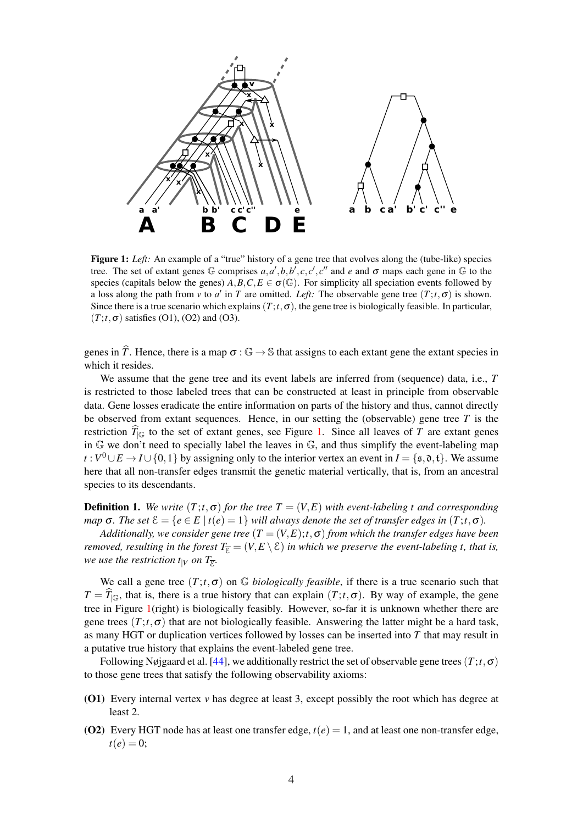<span id="page-3-0"></span>

Figure 1: *Left:* An example of a "true" history of a gene tree that evolves along the (tube-like) species tree. The set of extant genes  $\mathbb{G}$  comprises  $a, a', b, b', c, c', c''$  and  $e$  and  $\sigma$  maps each gene in  $\mathbb{G}$  to the species (capitals below the genes)  $A, B, C, E \in \sigma(\mathbb{G})$ . For simplicity all speciation events followed by a loss along the path from *v* to *a'* in *T* are omitted. *Left:* The observable gene tree  $(T; t, \sigma)$  is shown. Since there is a true scenario which explains  $(T; t, \sigma)$ , the gene tree is biologically feasible. In particular,  $(T; t, \sigma)$  satisfies (O1), (O2) and (O3).

genes in  $\hat{T}$ . Hence, there is a map  $\sigma : \mathbb{G} \to \mathbb{S}$  that assigns to each extant gene the extant species in which it resides.

We assume that the gene tree and its event labels are inferred from (sequence) data, i.e., *T* is restricted to those labeled trees that can be constructed at least in principle from observable data. Gene losses eradicate the entire information on parts of the history and thus, cannot directly be observed from extant sequences. Hence, in our setting the (observable) gene tree *T* is the restriction  $T_{\vert\mathbb{G}}$  to the set of extant genes, see Figure [1.](#page-3-0) Since all leaves of *T* are extant genes in G we don't need to specially label the leaves in G, and thus simplify the event-labeling map *t* :  $V^0 \cup E$  →  $I \cup \{0,1\}$  by assigning only to the interior vertex an event in  $I = \{\mathfrak{s}, \mathfrak{d}, \mathfrak{t}\}.$  We assume here that all non-transfer edges transmit the genetic material vertically, that is, from an ancestral species to its descendants.

**Definition 1.** We write  $(T; t, \sigma)$  for the tree  $T = (V, E)$  with event-labeling t and corresponding *map*  $\sigma$ *. The set*  $\mathcal{E} = \{e \in E \mid t(e) = 1\}$  *will always denote the set of transfer edges in*  $(T; t, \sigma)$ *.* 

*Additionally, we consider gene tree*  $(T = (V, E); t, \sigma)$  *from which the transfer edges have been removed, resulting in the forest*  $T_{\overline{E}} = (V, E \setminus E)$  *in which we preserve the event-labeling t, that is,* we use the restriction t<sub>|V</sub> on T<sub>E</sub>.

We call a gene tree  $(T; t, \sigma)$  on G *biologically feasible*, if there is a true scenario such that  $T = T_{\vert\mathbb{G}}$ , that is, there is a true history that can explain  $(T; t, \sigma)$ . By way of example, the gene tree in Figure [1\(](#page-3-0)right) is biologically feasibly. However, so-far it is unknown whether there are gene trees  $(T; t, \sigma)$  that are not biologically feasible. Answering the latter might be a hard task, as many HGT or duplication vertices followed by losses can be inserted into *T* that may result in a putative true history that explains the event-labeled gene tree.

Following Nøjgaard et al. [\[44\]](#page-19-13), we additionally restrict the set of observable gene trees(*T*;*t*,σ) to those gene trees that satisfy the following observability axioms:

- (O1) Every internal vertex *v* has degree at least 3, except possibly the root which has degree at least 2.
- (O2) Every HGT node has at least one transfer edge,  $t(e) = 1$ , and at least one non-transfer edge,  $t(e) = 0;$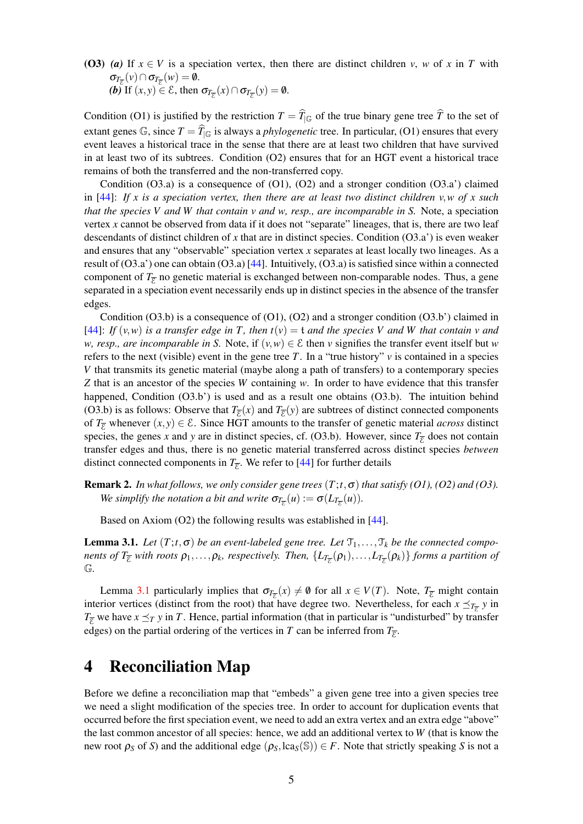(O3) (a) If  $x \in V$  is a speciation vertex, then there are distinct children *v*, *w* of *x* in *T* with  $\sigma_{T_{\overline{\varepsilon}}}(v) \cap \sigma_{T_{\overline{\varepsilon}}}(w) = \emptyset.$ *(b)* If  $(x, y) \in \mathcal{E}$ , then  $\sigma_{T_{\overline{\mathcal{E}}}}(x) \cap \sigma_{T_{\overline{\mathcal{E}}}}(y) = \emptyset$ .

Condition (O1) is justified by the restriction  $T = T_{\vert\mathbb{G}}$  of the true binary gene tree  $T$  to the set of extant genes  $\mathbb{G}$ , since  $T = \widehat{T}_{\vert \mathbb{G}}$  is always a *phylogenetic* tree. In particular, (O1) ensures that every event leaves a historical trace in the sense that there are at least two children that have survived in at least two of its subtrees. Condition (O2) ensures that for an HGT event a historical trace remains of both the transferred and the non-transferred copy.

Condition (O3.a) is a consequence of (O1), (O2) and a stronger condition (O3.a') claimed in [\[44\]](#page-19-13): *If x is a speciation vertex, then there are at least two distinct children v*,*w of x such that the species V and W that contain v and w, resp., are incomparable in S.* Note, a speciation vertex *x* cannot be observed from data if it does not "separate" lineages, that is, there are two leaf descendants of distinct children of *x* that are in distinct species. Condition (O3.a') is even weaker and ensures that any "observable" speciation vertex *x* separates at least locally two lineages. As a result of  $(O3.a')$  one can obtain  $(O3.a)$  [\[44\]](#page-19-13). Intuitively,  $(O3.a)$  is satisfied since within a connected component of  $T_{\overline{E}}$  no genetic material is exchanged between non-comparable nodes. Thus, a gene separated in a speciation event necessarily ends up in distinct species in the absence of the transfer edges.

Condition  $(O3.b)$  is a consequence of  $(O1)$ ,  $(O2)$  and a stronger condition  $(O3.b')$  claimed in [\[44\]](#page-19-13): *If*  $(v, w)$  *is a transfer edge in T, then t* $(v) = t$  *and the species V and W that contain v and w, resp., are incomparable in S.* Note, if  $(v, w) \in \mathcal{E}$  then *v* signifies the transfer event itself but *w* refers to the next (visible) event in the gene tree *T*. In a "true history" *v* is contained in a species *V* that transmits its genetic material (maybe along a path of transfers) to a contemporary species *Z* that is an ancestor of the species *W* containing *w*. In order to have evidence that this transfer happened, Condition (O3.b') is used and as a result one obtains (O3.b). The intuition behind (O3.b) is as follows: Observe that  $T_{\overline{g}}(x)$  and  $T_{\overline{g}}(y)$  are subtrees of distinct connected components of  $T_{\overline{g}}$  whenever  $(x, y) \in \mathcal{E}$ . Since HGT amounts to the transfer of genetic material *across* distinct species, the genes *x* and *y* are in distinct species, cf. (O3.b). However, since  $T_{\overline{E}}$  does not contain transfer edges and thus, there is no genetic material transferred across distinct species *between* distinct connected components in  $T_{\overline{E}}$ . We refer to [\[44\]](#page-19-13) for further details

**Remark 2.** *In what follows, we only consider gene trees*  $(T; t, \sigma)$  *that satisfy (O1), (O2) and (O3). We simplify the notation a bit and write*  $\sigma_{T_{\overline{\mathcal{E}}}}(u) := \sigma(L_{T_{\overline{\mathcal{E}}}}(u))$ *.* 

Based on Axiom (O2) the following results was established in [\[44\]](#page-19-13).

<span id="page-4-0"></span>**Lemma 3.1.** *Let*  $(T; t, \sigma)$  *be an event-labeled gene tree. Let*  $\mathcal{T}_1, \ldots, \mathcal{T}_k$  *be the connected components of*  $T_{\overline{\mathcal{E}}}$  *with roots*  $\rho_1,\ldots,\rho_k$ *, respectively. Then,*  $\{L_{T_{\overline{\mathcal{E}}}}(\rho_1),\ldots,L_{T_{\overline{\mathcal{E}}}}(\rho_k)\}$  forms a partition of G*.*

Lemma [3.1](#page-4-0) particularly implies that  $\sigma_{T_{\overline{\epsilon}}}(x) \neq \emptyset$  for all  $x \in V(T)$ . Note,  $T_{\overline{\epsilon}}$  might contain interior vertices (distinct from the root) that have degree two. Nevertheless, for each  $x \leq_{T_{\overline{\epsilon}}} y$  in  $T_{\overline{E}}$  we have  $x \leq_T y$  in *T*. Hence, partial information (that in particular is "undisturbed" by transfer edges) on the partial ordering of the vertices in *T* can be inferred from  $T_{\overline{E}}$ .

## 4 Reconciliation Map

Before we define a reconciliation map that "embeds" a given gene tree into a given species tree we need a slight modification of the species tree. In order to account for duplication events that occurred before the first speciation event, we need to add an extra vertex and an extra edge "above" the last common ancestor of all species: hence, we add an additional vertex to *W* (that is know the new root  $\rho_S$  of *S*) and the additional edge ( $\rho_S$ , lca<sub>*S*</sub>(S))  $\in$  *F*. Note that strictly speaking *S* is not a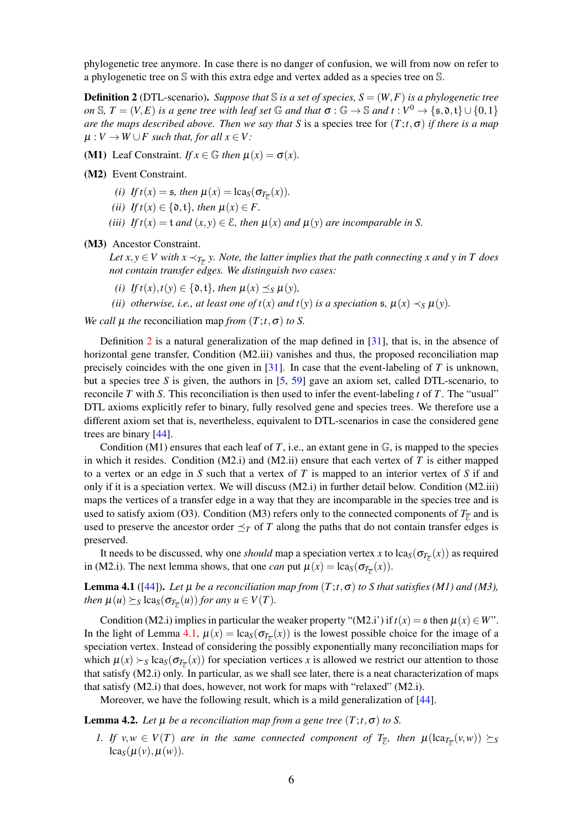phylogenetic tree anymore. In case there is no danger of confusion, we will from now on refer to a phylogenetic tree on S with this extra edge and vertex added as a species tree on S.

<span id="page-5-0"></span>**Definition 2** (DTL-scenario). *Suppose that*  $\mathbb{S}$  *is a set of species,*  $S = (W, F)$  *is a phylogenetic tree on* S,  $T = (V, E)$  *is a gene tree with leaf set* G *and that*  $\sigma : \mathbb{G} \to \mathbb{S}$  *and*  $t : V^0 \to \{ \mathfrak{s}, \mathfrak{d}, \mathfrak{t} \} \cup \{ 0, 1 \}$ *are the maps described above. Then we say that S* is a species tree for (*T*;*t*,σ) *if there is a map*  $\mu: V \to W \cup F$  such that, for all  $x \in V$ :

(M1) Leaf Constraint. *If*  $x \in \mathbb{G}$  *then*  $\mu(x) = \sigma(x)$ .

(M2) Event Constraint.

*(i) If*  $t(x) = \mathfrak{s}$ *, then*  $\mu(x) = \text{lca}_{\mathfrak{s}}(\sigma_{T_{\overline{\mathcal{E}}}}(x))$ *.* 

- *(ii) If*  $t(x) \in \{0, t\}$ *, then*  $\mu(x) \in F$ *.*
- *(iii) If*  $t(x) = t$  *and*  $(x, y) \in \mathcal{E}$ *, then*  $\mu(x)$  *and*  $\mu(y)$  *are incomparable in S.*

(M3) Ancestor Constraint.

Let  $x, y \in V$  with  $x \prec_{T_{\overline{E}}} y$ . Note, the latter implies that the path connecting x and y in T does *not contain transfer edges. We distinguish two cases:*

- $(i)$  *If t*(*x*),*t*(*y*)  $\in$  {0, t}*, then*  $\mu(x) \prec_S \mu(y)$ *,*
- *(ii) otherwise, i.e., at least one of*  $t(x)$  *<i>and*  $t(y)$  *is a speciation*  $\mathfrak{s}$ *,*  $\mu(x) \prec_{S} \mu(y)$ *.*

*We call*  $\mu$  *the* reconciliation map *from*  $(T; t, \sigma)$  *to S*.

Definition [2](#page-5-0) is a natural generalization of the map defined in  $[31]$ , that is, in the absence of horizontal gene transfer, Condition (M2.iii) vanishes and thus, the proposed reconciliation map precisely coincides with the one given in  $[31]$ . In case that the event-labeling of *T* is unknown, but a species tree *S* is given, the authors in  $[5, 59]$  $[5, 59]$  $[5, 59]$  gave an axiom set, called DTL-scenario, to reconcile *T* with *S*. This reconciliation is then used to infer the event-labeling *t* of *T*. The "usual" DTL axioms explicitly refer to binary, fully resolved gene and species trees. We therefore use a different axiom set that is, nevertheless, equivalent to DTL-scenarios in case the considered gene trees are binary [\[44\]](#page-19-13).

Condition (M1) ensures that each leaf of *T*, i.e., an extant gene in  $\mathbb{G}$ , is mapped to the species in which it resides. Condition  $(M2.i)$  and  $(M2.ii)$  ensure that each vertex of *T* is either mapped to a vertex or an edge in *S* such that a vertex of *T* is mapped to an interior vertex of *S* if and only if it is a speciation vertex. We will discuss (M2.i) in further detail below. Condition (M2.iii) maps the vertices of a transfer edge in a way that they are incomparable in the species tree and is used to satisfy axiom (O3). Condition (M3) refers only to the connected components of  $T_{\overline{E}}$  and is used to preserve the ancestor order  $\preceq_T$  of *T* along the paths that do not contain transfer edges is preserved.

It needs to be discussed, why one *should* map a speciation vertex *x* to lca<sub>*S*</sub>( $\sigma_{T_{\overline{\epsilon}}}(x)$ ) as required in (M2.i). The next lemma shows, that one *can* put  $\mu(x) = \text{lca}_{S}(\sigma_{T_{\overline{\epsilon}}}(x))$ .

<span id="page-5-1"></span>**Lemma 4.1** ([\[44\]](#page-19-13)). Let  $\mu$  be a reconciliation map from  $(T; t, \sigma)$  to S that satisfies (M1) and (M3), *then*  $\mu(u) \succeq_S \text{lcas}(\sigma_{T_{\overline{E}}}(u))$  *for any*  $u \in V(T)$ *.* 

Condition (M2.i) implies in particular the weaker property "(M2.i') if  $t(x) = s$  then  $\mu(x) \in W$ ". In the light of Lemma [4.1,](#page-5-1)  $\mu(x) = \text{lca}_S(\sigma_{T_{\overline{E}}}(x))$  is the lowest possible choice for the image of a speciation vertex. Instead of considering the possibly exponentially many reconciliation maps for which  $\mu(x) \succ_S \text{lcas}(\sigma_{T_{\overline{E}}}(x))$  for speciation vertices *x* is allowed we restrict our attention to those that satisfy (M2.i) only. In particular, as we shall see later, there is a neat characterization of maps that satisfy (M2.i) that does, however, not work for maps with "relaxed" (M2.i).

Moreover, we have the following result, which is a mild generalization of [\[44\]](#page-19-13).

<span id="page-5-2"></span>**Lemma 4.2.** *Let*  $\mu$  *be a reconciliation map from a gene tree*  $(T; t, \sigma)$  *to S*.

*1. If*  $v, w \in V(T)$  are in the same connected component of  $T_{\overline{\varepsilon}}$ , then  $\mu(\text{lcar}_{\overline{\varepsilon}}(v,w)) \succeq s$  $lca_S(\mu(v), \mu(w)).$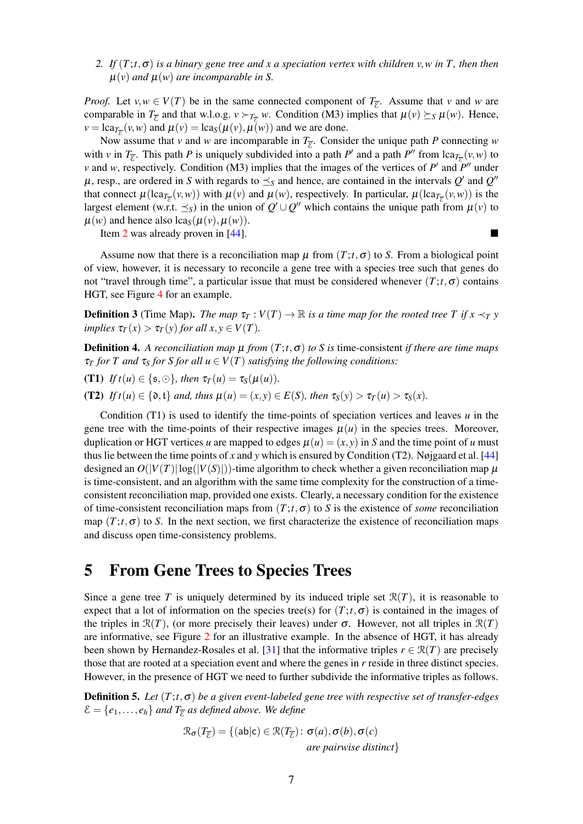<span id="page-6-0"></span>*2. If*  $(T; t, \sigma)$  *is a binary gene tree and x a speciation vertex with children v,w in T, then then*  $\mu(v)$  *and*  $\mu(w)$  *are incomparable in S.* 

*Proof.* Let  $v, w \in V(T)$  be in the same connected component of  $T_{\overline{\varepsilon}}$ . Assume that *v* and *w* are comparable in  $T_{\overline{\xi}}$  and that w.l.o.g.  $v \succ_{T_{\overline{\xi}}} w$ . Condition (M3) implies that  $\mu(v) \succeq_S \mu(w)$ . Hence,  $\nu = \text{lca}_{T_{\overline{\varepsilon}}}(v, w)$  and  $\mu(v) = \text{lca}_{S}(\mu(v), \mu(w))$  and we are done.

Now assume that *v* and *w* are incomparable in  $T_{\overline{\varepsilon}}$ . Consider the unique path *P* connecting *w* with *v* in  $T_{\overline{\varepsilon}}$ . This path *P* is uniquely subdivided into a path *P'* and a path *P''* from lca $_{T_{\overline{\varepsilon}}}(v,w)$  to *v* and *w*, respectively. Condition (M3) implies that the images of the vertices of  $P'$  and  $P''$  under  $\mu$ , resp., are ordered in *S* with regards to  $\preceq_S$  and hence, are contained in the intervals  $Q'$  and  $Q''$ that connect  $\mu(\text{lc}a_{T_{\overline{\epsilon}}}(v,w))$  with  $\mu(v)$  and  $\mu(w)$ , respectively. In particular,  $\mu(\text{lc}a_{T_{\overline{\epsilon}}}(v,w))$  is the largest element (w.r.t.  $\preceq_S$ ) in the union of  $Q' \cup Q''$  which contains the unique path from  $\mu(v)$  to  $\mu(w)$  and hence also  $\text{lca}_{\text{S}}(\mu(v), \mu(w)).$ 

Item [2](#page-6-0) was already proven in [\[44\]](#page-19-13).

Assume now that there is a reconciliation map  $\mu$  from ( $T$ ; $t$ , $\sigma$ ) to *S*. From a biological point of view, however, it is necessary to reconcile a gene tree with a species tree such that genes do not "travel through time", a particular issue that must be considered whenever  $(T; t, \sigma)$  contains HGT, see Figure [4](#page-13-0) for an example.

**Definition 3** (Time Map). *The map*  $\tau$ <sup>*T*</sup> :  $V(T) \to \mathbb{R}$  *is a time map for the rooted tree T if*  $x \prec_T y$ *implies*  $\tau_T(x) > \tau_T(y)$  *for all x, y*  $\in V(T)$ *.* 

**Definition 4.** A reconciliation map  $\mu$  from  $(T; t, \sigma)$  to S is time-consistent *if there are time maps*  $\tau_T$  *for T and*  $\tau_S$  *for S for all*  $u \in V(T)$  *satisfying the following conditions:* 

(T1) *If*  $t(u) \in \{\mathfrak{s}, \odot\}$ , then  $\tau_T(u) = \tau_S(\mu(u))$ .

(T2) *If t*( $u$ )  $\in$  {0, t} *and, thus*  $\mu(u) = (x, y) \in E(S)$ *, then*  $\tau_S(y) > \tau_T(u) > \tau_S(x)$ *.* 

Condition (T1) is used to identify the time-points of speciation vertices and leaves  $u$  in the gene tree with the time-points of their respective images  $\mu(u)$  in the species trees. Moreover, duplication or HGT vertices *u* are mapped to edges  $\mu(u) = (x, y)$  in *S* and the time point of *u* must thus lie between the time points of x and y which is ensured by Condition  $(T2)$ . Nøjgaard et al. [\[44\]](#page-19-13) designed an  $O(|V(T)|\log(|V(S)|))$ -time algorithm to check whether a given reconciliation map  $\mu$ is time-consistent, and an algorithm with the same time complexity for the construction of a timeconsistent reconciliation map, provided one exists. Clearly, a necessary condition for the existence of time-consistent reconciliation maps from  $(T; t, \sigma)$  to *S* is the existence of *some* reconciliation map  $(T; t, \sigma)$  to *S*. In the next section, we first characterize the existence of reconciliation maps and discuss open time-consistency problems.

## 5 From Gene Trees to Species Trees

Since a gene tree *T* is uniquely determined by its induced triple set  $\mathcal{R}(T)$ , it is reasonable to expect that a lot of information on the species tree(s) for  $(T; t, \sigma)$  is contained in the images of the triples in  $\mathcal{R}(T)$ , (or more precisely their leaves) under  $\sigma$ . However, not all triples in  $\mathcal{R}(T)$ are informative, see Figure [2](#page-7-0) for an illustrative example. In the absence of HGT, it has already been shown by Hernandez-Rosales et al. [\[31\]](#page-18-3) that the informative triples  $r \in \mathcal{R}(T)$  are precisely those that are rooted at a speciation event and where the genes in *r* reside in three distinct species. However, in the presence of HGT we need to further subdivide the informative triples as follows.

Definition 5. *Let* (*T*;*t*,σ) *be a given event-labeled gene tree with respective set of transfer-edges*  $\mathcal{E} = \{e_1, \ldots, e_h\}$  and  $T_{\overline{\mathcal{E}}}$  as defined above. We define

$$
\mathcal{R}_{\sigma}(T_{\overline{\mathcal{E}}}) = \{ (\mathsf{ab} | \mathsf{c}) \in \mathcal{R}(T_{\overline{\mathcal{E}}}) : \sigma(a), \sigma(b), \sigma(c)
$$
  
*are pairwise distinct*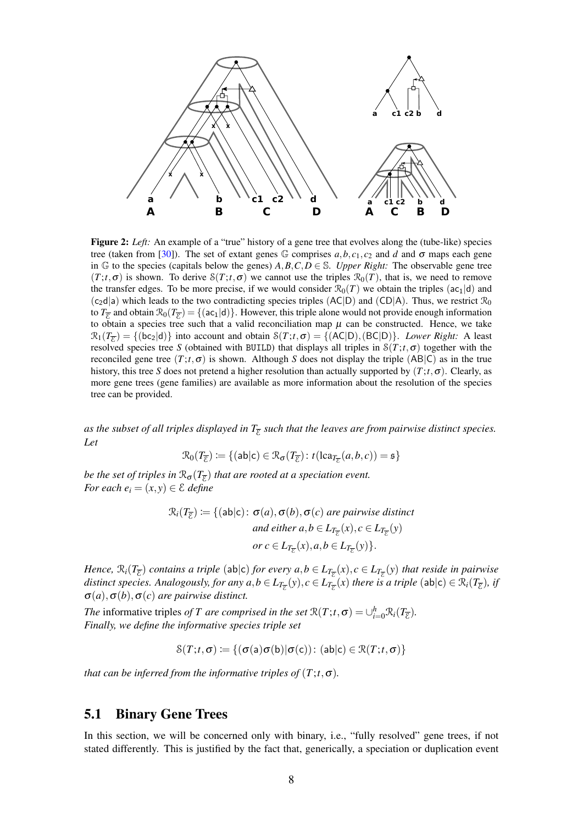<span id="page-7-0"></span>

Figure 2: *Left:* An example of a "true" history of a gene tree that evolves along the (tube-like) species tree (taken from [\[30\]](#page-18-2)). The set of extant genes  $\mathbb{G}$  comprises  $a, b, c_1, c_2$  and  $d$  and  $\sigma$  maps each gene in  $\mathbb{G}$  to the species (capitals below the genes)  $A, B, C, D \in \mathbb{S}$ . *Upper Right:* The observable gene tree  $(T; t, \sigma)$  is shown. To derive  $S(T; t, \sigma)$  we cannot use the triples  $\mathcal{R}_0(T)$ , that is, we need to remove the transfer edges. To be more precise, if we would consider  $\mathcal{R}_0(T)$  we obtain the triples ( $ac_1|d$ ) and  $(c_2d|a)$  which leads to the two contradicting species triples (AC|D) and (CD|A). Thus, we restrict  $\mathcal{R}_0$ to  $T_{\overline{E}}$  and obtain  $\mathcal{R}_0(T_{\overline{E}}) = \{(\mathsf{ac}_1 | \mathsf{d})\}$ . However, this triple alone would not provide enough information to obtain a species tree such that a valid reconciliation map  $\mu$  can be constructed. Hence, we take  $\mathcal{R}_1(T_{\overline{\mathcal{E}}}) = \{(\mathsf{bc}_2 | \mathsf{d})\}$  into account and obtain  $\mathcal{S}(T; t, \sigma) = \{(\mathsf{AC} | \mathsf{D}), (\mathsf{BC} | \mathsf{D})\}$ . *Lower Right:* A least resolved species tree *S* (obtained with BUILD) that displays all triples in  $S(T;t,\sigma)$  together with the reconciled gene tree (*T*;*t*,σ) is shown. Although *S* does not display the triple (AB|C) as in the true history, this tree *S* does not pretend a higher resolution than actually supported by  $(T; t, \sigma)$ . Clearly, as more gene trees (gene families) are available as more information about the resolution of the species tree can be provided.

as the subset of all triples displayed in  $T_{\overline{\mathcal E}}$  such that the leaves are from pairwise distinct species. *Let*

$$
\mathcal{R}_0(T_{\overline{\mathcal{E}}}) := \{ (\mathsf{ab} | \mathsf{c}) \in \mathcal{R}_\sigma(T_{\overline{\mathcal{E}}}) : t(\mathrm{lca}_{T_{\overline{\mathcal{E}}}}(a, b, c)) = \mathfrak{s} \}
$$

*be the set of triples in*  $\mathcal{R}_{\sigma}(T_{\overline{\mathcal{E}}})$  *that are rooted at a speciation event. For each*  $e_i = (x, y) \in \mathcal{E}$  *<i>define* 

$$
\mathcal{R}_i(T_{\overline{\mathcal{E}}}) := \{ (\mathsf{ab} | \mathsf{c}) : \sigma(a), \sigma(b), \sigma(c) \text{ are pairwise distinct} \}
$$
  
and either  $a, b \in L_{T_{\overline{\mathcal{E}}}}(x), c \in L_{T_{\overline{\mathcal{E}}}}(y)$   
or  $c \in L_{T_{\overline{\mathcal{E}}}}(x), a, b \in L_{T_{\overline{\mathcal{E}}}}(y) \}.$ 

*Hence,*  $\mathcal{R}_i(T_{\overline{\mathcal{E}}})$  *contains a triple* (ab|c) *for every a,b*  $\in L_{T_{\overline{\mathcal{E}}}}(x)$ *,c*  $\in L_{T_{\overline{\mathcal{E}}}}(y)$  *that reside in pairwise distinct species. Analogously, for any*  $a,b \in L_{T_{\overline{E}}}(y), c \in L_{T_{\overline{E}}}(x)$  *there is a triple*  $(ab|c) \in \mathcal{R}_i(T_{\overline{E}})$ *<i>, if*  $\sigma(a), \sigma(b), \sigma(c)$  *are pairwise distinct.* 

*The* informative triples *of T* are comprised in the set  $\mathcal{R}(T; t, \sigma) = \bigcup_{i=0}^{h} \mathcal{R}_i(T_{\overline{\xi}})$ . *Finally, we define the informative species triple set*

$$
\mathcal{S}(T;t,\sigma) \coloneqq \{ (\sigma(a)\sigma(b)|\sigma(c)) : (ab|c) \in \mathcal{R}(T;t,\sigma) \}
$$

*that can be inferred from the informative triples of*  $(T; t, \sigma)$ *.* 

### 5.1 Binary Gene Trees

In this section, we will be concerned only with binary, i.e., "fully resolved" gene trees, if not stated differently. This is justified by the fact that, generically, a speciation or duplication event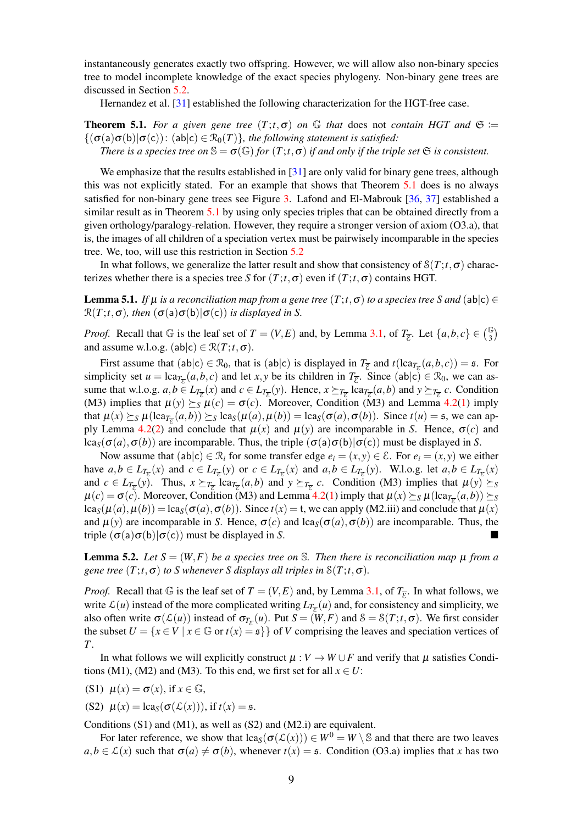instantaneously generates exactly two offspring. However, we will allow also non-binary species tree to model incomplete knowledge of the exact species phylogeny. Non-binary gene trees are discussed in Section [5.2.](#page-10-0)

Hernandez et al. [\[31\]](#page-18-3) established the following characterization for the HGT-free case.

<span id="page-8-0"></span>**Theorem 5.1.** For a given gene tree  $(T; t, \sigma)$  on  $\mathbb{G}$  that does not *contain HGT and*  $\mathfrak{S} :=$  $\{(\sigma(a)\sigma(b)|\sigma(c)): (ab|c) \in \mathcal{R}_0(T)\}\$ , the following statement is satisfied: *There is a species tree on*  $\mathbb{S} = \sigma(\mathbb{G})$  *for*  $(T; t, \sigma)$  *if and only if the triple set*  $\mathfrak{S}$  *is consistent.* 

We emphasize that the results established in  $[31]$  are only valid for binary gene trees, although this was not explicitly stated. For an example that shows that Theorem [5.1](#page-8-0) does is no always satisfied for non-binary gene trees see Figure [3.](#page-11-0) Lafond and El-Mabrouk [\[36,](#page-18-7) [37\]](#page-18-4) established a similar result as in Theorem [5.1](#page-8-0) by using only species triples that can be obtained directly from a given orthology/paralogy-relation. However, they require a stronger version of axiom (O3.a), that is, the images of all children of a speciation vertex must be pairwisely incomparable in the species tree. We, too, will use this restriction in Section [5.2](#page-10-0)

In what follows, we generalize the latter result and show that consistency of  $S(T; t, \sigma)$  characterizes whether there is a species tree *S* for  $(T; t, \sigma)$  even if  $(T; t, \sigma)$  contains HGT.

<span id="page-8-1"></span>**Lemma 5.1.** *If*  $\mu$  *is a reconciliation map from a gene tree*  $(T; t, \sigma)$  *to a species tree S and* (ab|c)  $\in$  $\mathcal{R}(T; t, \sigma)$ *, then*  $(\sigma(a)\sigma(b)|\sigma(c))$  *is displayed in S.* 

*Proof.* Recall that  $\mathbb{G}$  is the leaf set of  $T = (V, E)$  and, by Lemma [3.1,](#page-4-0) of  $T_{\overline{\xi}}$ . Let  $\{a, b, c\} \in \binom{\mathbb{G}}{3}$ and assume w.l.o.g.  $(ab|c) \in \mathcal{R}(T; t, \sigma)$ .

First assume that  $(ab|c) \in \mathcal{R}_0$ , that is  $(ab|c)$  is displayed in  $T_{\overline{\mathcal{E}}}$  and  $t(lca_{T_{\overline{\mathcal{E}}}}(a,b,c)) = \mathfrak{s}$ . For simplicity set  $u = \text{lca}_{T_{\overline{\mathcal{E}}}}(a,b,c)$  and let *x*, *y* be its children in  $T_{\overline{\mathcal{E}}}$ . Since (ab|c)  $\in \mathcal{R}_0$ , we can assume that w.l.o.g.  $a, b \in L_{T_{\overline{\epsilon}}}(x)$  and  $c \in L_{T_{\overline{\epsilon}}}(y)$ . Hence,  $x \succeq_{T_{\overline{\epsilon}}} \text{lca}_{T_{\overline{\epsilon}}}(a, b)$  and  $y \succeq_{T_{\overline{\epsilon}}} c$ . Condition (M3) implies that  $\mu(y) \succeq_S \mu(c) = \sigma(c)$ . Moreover, Condition (M3) and Lemma [4.2](#page-6-0)[\(1\)](#page-5-2) imply that  $\mu(x) \succeq_S \mu(\text{lca}_{T_{\overline{\epsilon}}}(a,b)) \succeq_S \text{lca}_S(\mu(a), \mu(b)) = \text{lca}_S(\sigma(a), \sigma(b)).$  Since  $t(u) = \mathfrak{s}$ , we can ap-ply Lemma [4.2\(2\)](#page-6-0) and conclude that  $\mu(x)$  and  $\mu(y)$  are incomparable in *S*. Hence,  $\sigma(c)$  and lca<sub>S</sub>( $\sigma$ (*a*), $\sigma$ (*b*)) are incomparable. Thus, the triple ( $\sigma$ (a) $\sigma$ (b)| $\sigma$ (c)) must be displayed in *S*.

Now assume that  $(ab|c) \in \mathcal{R}_i$  for some transfer edge  $e_i = (x, y) \in \mathcal{E}$ . For  $e_i = (x, y)$  we either have  $a, b \in L_{T_{\overline{\mathcal{E}}}}(x)$  and  $c \in L_{T_{\overline{\mathcal{E}}}}(y)$  or  $c \in L_{T_{\overline{\mathcal{E}}}}(x)$  and  $a, b \in L_{T_{\overline{\mathcal{E}}}}(y)$ . W.l.o.g. let  $a, b \in L_{T_{\overline{\mathcal{E}}}}(x)$ and  $c \in L_{T_{\overline{\epsilon}}}(y)$ . Thus,  $x \succeq_{T_{\overline{\epsilon}}} \text{lca}_{T_{\overline{\epsilon}}}(a,b)$  and  $y \succeq_{T_{\overline{\epsilon}}} c$ . Condition (M3) implies that  $\mu(y) \succeq_S$  $\mu(c) = \sigma(c)$ . Moreover, Condition (M3) and Lemma [4.2\(](#page-6-0)[1\)](#page-5-2) imply that  $\mu(x) \succeq_S \mu(\text{lca}_{T_{\overline{E}}}(a,b)) \succeq_S$  $\log(\mu(a), \mu(b)) = \log(\sigma(a), \sigma(b))$ . Since  $t(x) = t$ , we can apply (M2.iii) and conclude that  $\mu(x)$ and  $\mu(y)$  are incomparable in *S*. Hence,  $\sigma(c)$  and lca<sub>S</sub>( $\sigma(a), \sigma(b)$ ) are incomparable. Thus, the triple  $(\sigma(a)\sigma(b)|\sigma(c))$  must be displayed in *S*.

<span id="page-8-2"></span>**Lemma 5.2.** Let  $S = (W, F)$  be a species tree on S. Then there is reconciliation map  $\mu$  from a *gene tree*  $(T; t, \sigma)$  *to S* whenever *S* displays all triples in  $S(T; t, \sigma)$ *.* 

*Proof.* Recall that  $\mathbb{G}$  is the leaf set of  $T = (V, E)$  and, by Lemma [3.1,](#page-4-0) of  $T_{\overline{E}}$ . In what follows, we write  $\mathcal{L}(u)$  instead of the more complicated writing  $L_{T_{\overline{\mathcal{E}}}}(u)$  and, for consistency and simplicity, we also often write  $\sigma(\mathcal{L}(u))$  instead of  $\sigma_{T_{\overline{\mathcal{E}}}}(u)$ . Put  $S = (W, F)$  and  $S = S(T; t, \sigma)$ . We first consider the subset  $U = \{x \in V \mid x \in \mathbb{G} \text{ or } t(x) = \mathfrak{s}\}\$  of *V* comprising the leaves and speciation vertices of *T*.

In what follows we will explicitly construct  $\mu : V \to W \cup F$  and verify that  $\mu$  satisfies Conditions (M1), (M2) and (M3). To this end, we first set for all  $x \in U$ :

- (S1)  $\mu(x) = \sigma(x)$ , if  $x \in \mathbb{G}$ ,
- (S2)  $\mu(x) = \text{lcag}(\sigma(\mathcal{L}(x)))$ , if  $t(x) = \mathfrak{s}$ .

Conditions  $(S1)$  and  $(M1)$ , as well as  $(S2)$  and  $(M2,i)$  are equivalent.

For later reference, we show that  $\text{lca}_{S}(\sigma(\mathcal{L}(x))) \in W^0 = W \setminus \mathbb{S}$  and that there are two leaves  $a, b \in \mathcal{L}(x)$  such that  $\sigma(a) \neq \sigma(b)$ , whenever  $t(x) = \sigma$ . Condition (O3.a) implies that *x* has two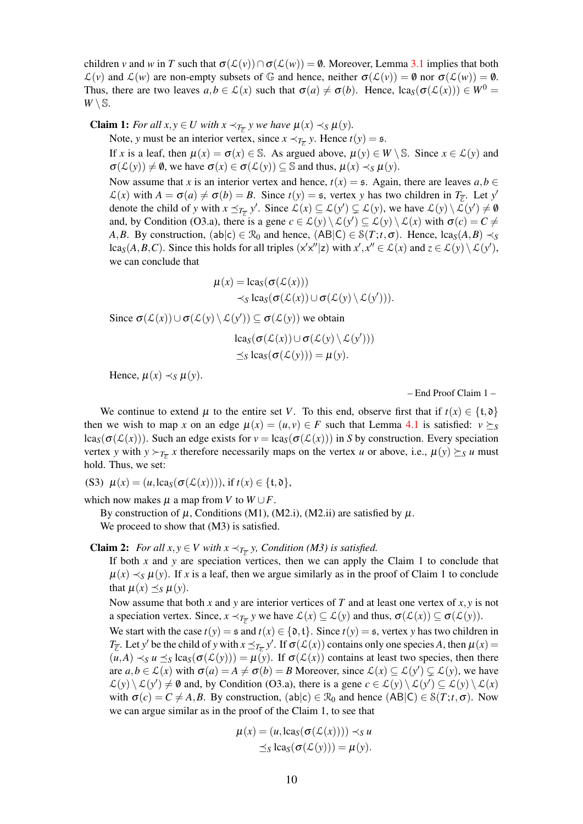children *v* and *w* in *T* such that  $\sigma(\mathcal{L}(v)) \cap \sigma(\mathcal{L}(w)) = \emptyset$ . Moreover, Lemma [3.1](#page-4-0) implies that both  $\mathcal{L}(v)$  and  $\mathcal{L}(w)$  are non-empty subsets of G and hence, neither  $\sigma(\mathcal{L}(v)) = \mathbf{0}$  nor  $\sigma(\mathcal{L}(w)) = \mathbf{0}$ . Thus, there are two leaves  $a, b \in \mathcal{L}(x)$  such that  $\sigma(a) \neq \sigma(b)$ . Hence,  $lca_S(\sigma(\mathcal{L}(x))) \in W^0 =$  $W \setminus \mathbb{S}$ .

**Claim 1:** For all  $x, y \in U$  with  $x \prec_{T_{\overline{\epsilon}}} y$  we have  $\mu(x) \prec_{S} \mu(y)$ .

Note, *y* must be an interior vertex, since  $x \prec_{T_{\overline{\epsilon}}} y$ . Hence  $t(y) = \mathfrak{s}$ .

If *x* is a leaf, then  $\mu(x) = \sigma(x) \in \mathbb{S}$ . As argued above,  $\mu(y) \in W \setminus \mathbb{S}$ . Since  $x \in \mathcal{L}(y)$  and  $\sigma(\mathcal{L}(y)) \neq \emptyset$ , we have  $\sigma(x) \in \sigma(\mathcal{L}(y)) \subseteq \mathbb{S}$  and thus,  $\mu(x) \prec_S \mu(y)$ .

Now assume that *x* is an interior vertex and hence,  $t(x) = \mathfrak{s}$ . Again, there are leaves  $a, b \in \mathbb{R}$  $\mathcal{L}(x)$  with  $A = \sigma(a) \neq \sigma(b) = B$ . Since  $t(y) = \mathfrak{s}$ , vertex *y* has two children in  $T_{\overline{\mathcal{E}}}$ . Let *y'* denote the child of *y* with  $x \leq_{T_{\overline{\epsilon}}} y'$ . Since  $\mathcal{L}(x) \subseteq \mathcal{L}(y') \subsetneq \mathcal{L}(y)$ , we have  $\mathcal{L}(y) \setminus \mathcal{L}(y') \neq \emptyset$ and, by Condition (O3.a), there is a gene  $c \in \mathcal{L}(y) \setminus \mathcal{L}(y') \subseteq \mathcal{L}(y) \setminus \mathcal{L}(x)$  with  $\sigma(c) = C \neq$ *A*,*B*. By construction, (ab|c)  $\in \mathcal{R}_0$  and hence, (AB|C)  $\in \mathcal{S}(T; t, \sigma)$ . Hence, lca<sub>S</sub>(*A*, *B*)  $\prec_S$ lca<sub>S</sub>(*A*,*B*,*C*). Since this holds for all triples (x'x"|z) with  $x'$ ,  $x'' \in \mathcal{L}(x)$  and  $z \in \mathcal{L}(y) \setminus \mathcal{L}(y')$ , we can conclude that

$$
\mu(x) = \operatorname{lca}_{S}(\sigma(\mathcal{L}(x)))
$$
  
\$\prec\_{S} \operatorname{lca}\_{S}(\sigma(\mathcal{L}(x))) \cup \sigma(\mathcal{L}(y) \setminus \mathcal{L}(y'))\$.

Since  $\sigma(\mathcal{L}(x)) \cup \sigma(\mathcal{L}(y) \setminus \mathcal{L}(y')) \subseteq \sigma(\mathcal{L}(y))$  we obtain

$$
\begin{aligned} & \operatorname{lcag}(\sigma(\mathcal{L}(x)) \cup \sigma(\mathcal{L}(y) \setminus \mathcal{L}(y'))) \\ &\preceq_S \operatorname{lcag}(\sigma(\mathcal{L}(y))) = \mu(y). \end{aligned}
$$

Hence,  $\mu(x) \prec_S \mu(y)$ .

– End Proof Claim 1 –

We continue to extend  $\mu$  to the entire set *V*. To this end, observe first that if  $t(x) \in \{t, \mathfrak{d}\}\$ then we wish to map *x* on an edge  $\mu(x) = (u, v) \in F$  such that Lemma [4.1](#page-5-1) is satisfied:  $v \succeq_S$  $lca_S(\sigma(\mathcal{L}(x)))$ . Such an edge exists for  $v = lca_S(\sigma(\mathcal{L}(x)))$  in *S* by construction. Every speciation vertex *y* with  $y \succ_{T_{\overline{\epsilon}}} x$  therefore necessarily maps on the vertex *u* or above, i.e.,  $\mu(y) \succeq_s u$  must hold. Thus, we set:

(S3)  $\mu(x) = (u, \text{lca}_S(\sigma(\mathcal{L}(x))))$ , if  $t(x) \in \{\text{t}, \text{d}\},$ 

which now makes  $\mu$  a map from *V* to  $W \cup F$ .

By construction of  $\mu$ , Conditions (M1), (M2.i), (M2.ii) are satisfied by  $\mu$ . We proceed to show that  $(M3)$  is satisfied.

**Claim 2:** *For all*  $x, y \in V$  *with*  $x \prec_{T_{\overline{\epsilon}}} y$ , *Condition* (*M3*) *is satisfied.* 

If both *x* and *y* are speciation vertices, then we can apply the Claim 1 to conclude that  $\mu(x) \prec_S \mu(y)$ . If *x* is a leaf, then we argue similarly as in the proof of Claim 1 to conclude that  $\mu(x) \preceq_S \mu(y)$ .

Now assume that both *x* and *y* are interior vertices of *T* and at least one vertex of *x*, *y* is not a speciation vertex. Since,  $x \prec_{T_{\overline{\epsilon}}} y$  we have  $\mathcal{L}(x) \subseteq \mathcal{L}(y)$  and thus,  $\sigma(\mathcal{L}(x)) \subseteq \sigma(\mathcal{L}(y))$ .

We start with the case  $t(y) = \mathfrak{s}$  and  $t(x) \in \{0, t\}$ . Since  $t(y) = \mathfrak{s}$ , vertex *y* has two children in *T*<sub> $\overline{\epsilon}$ . Let *y*' be the child of *y* with  $x \leq T_{\overline{\epsilon}} y'$ . If  $\sigma(\mathcal{L}(x))$  contains only one species *A*, then  $\mu(x) =$ </sub>  $(u, A) \prec_S u \preceq_S \text{lca}_S(\sigma(\mathcal{L}(y))) = \mu(y)$ . If  $\sigma(\mathcal{L}(x))$  contains at least two species, then there are  $a, b \in \mathcal{L}(x)$  with  $\sigma(a) = A \neq \sigma(b) = B$  Moreover, since  $\mathcal{L}(x) \subseteq \mathcal{L}(y') \subsetneq \mathcal{L}(y)$ , we have  $\mathcal{L}(y) \setminus \mathcal{L}(y') \neq \emptyset$  and, by Condition (O3.a), there is a gene  $c \in \mathcal{L}(y) \setminus \mathcal{L}(y') \subseteq \mathcal{L}(y) \setminus \mathcal{L}(x)$ with  $\sigma(c) = C \neq A, B$ . By construction, (ab|c)  $\in \mathcal{R}_0$  and hence (AB|C)  $\in \mathcal{S}(T; t, \sigma)$ . Now we can argue similar as in the proof of the Claim 1, to see that

$$
\mu(x) = (u, \text{lca}_S(\sigma(\mathcal{L}(x)))) \prec_S u
$$
  
 
$$
\preceq_S \text{lca}_S(\sigma(\mathcal{L}(y))) = \mu(y).
$$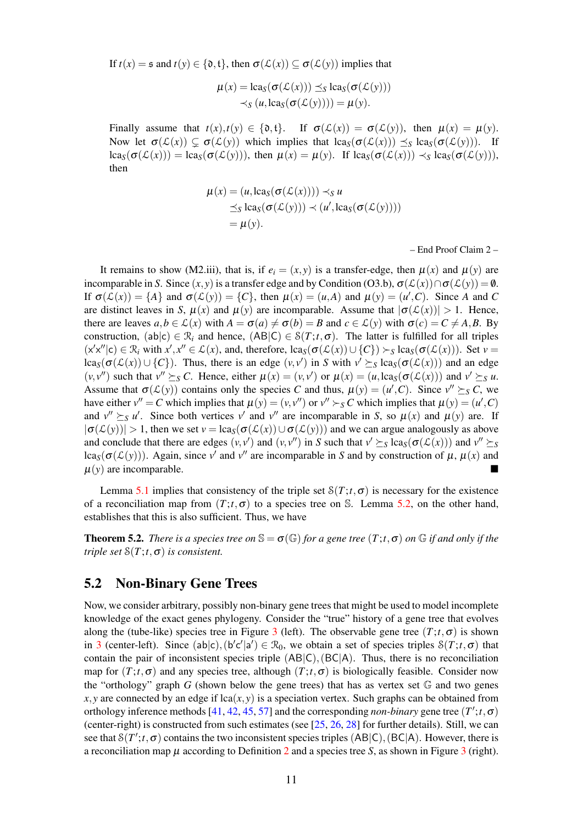If  $t(x) = \mathfrak{s}$  and  $t(y) \in \{0, t\}$ , then  $\sigma(\mathcal{L}(x)) \subseteq \sigma(\mathcal{L}(y))$  implies that

$$
\mu(x) = \operatorname{lca}_{S}(\sigma(\mathcal{L}(x))) \preceq_{S} \operatorname{lca}_{S}(\sigma(\mathcal{L}(y))) \prec_{S} (u, \operatorname{lca}_{S}(\sigma(\mathcal{L}(y)))) = \mu(y).
$$

Finally assume that  $t(x), t(y) \in \{0, t\}$ . If  $\sigma(\mathcal{L}(x)) = \sigma(\mathcal{L}(y))$ , then  $\mu(x) = \mu(y)$ . Now let  $\sigma(\mathcal{L}(x)) \subseteq \sigma(\mathcal{L}(y))$  which implies that  $\text{lcag}(\sigma(\mathcal{L}(x))) \preceq_S \text{lcag}(\sigma(\mathcal{L}(y)))$ . If  $\text{lcas}(\sigma(\mathcal{L}(x))) = \text{lcas}(\sigma(\mathcal{L}(y)))$ , then  $\mu(x) = \mu(y)$ . If  $\text{lcas}(\sigma(\mathcal{L}(x))) \prec_S \text{lcas}(\sigma(\mathcal{L}(y)))$ , then

$$
\mu(x) = (u, \text{lcas}(\sigma(\mathcal{L}(x)))) \prec_S u
$$
  
\rightharpoonup<sub>S</sub> lca<sub>S</sub>( $\sigma(\mathcal{L}(y))) \prec (u', \text{lcas}(\sigma(\mathcal{L}(y))))$   
\rightharpoonup<sub>H</sub>(y).

– End Proof Claim 2 –

It remains to show (M2.iii), that is, if  $e_i = (x, y)$  is a transfer-edge, then  $\mu(x)$  and  $\mu(y)$  are incomparable in *S*. Since  $(x, y)$  is a transfer edge and by Condition (O3.b),  $\sigma(\mathcal{L}(x)) \cap \sigma(\mathcal{L}(y)) = \emptyset$ . If  $\sigma(\mathcal{L}(x)) = \{A\}$  and  $\sigma(\mathcal{L}(y)) = \{C\}$ , then  $\mu(x) = (u, A)$  and  $\mu(y) = (u', C)$ . Since *A* and *C* are distinct leaves in *S*,  $\mu(x)$  and  $\mu(y)$  are incomparable. Assume that  $|\sigma(\mathcal{L}(x))| > 1$ . Hence, there are leaves  $a, b \in \mathcal{L}(x)$  with  $A = \sigma(a) \neq \sigma(b) = B$  and  $c \in \mathcal{L}(y)$  with  $\sigma(c) = C \neq A, B$ . By construction,  $(ab|c) \in \mathcal{R}_i$  and hence,  $(AB|C) \in \mathcal{S}(T;t,\sigma)$ . The latter is fulfilled for all triples  $(x'x''|c) \in \mathcal{R}_i$  with  $x', x'' \in \mathcal{L}(x)$ , and, therefore,  $lca_S(\sigma(\mathcal{L}(x)) \cup \{C\}) \succ_S lca_S(\sigma(\mathcal{L}(x)))$ . Set  $v =$ lca<sub>S</sub>( $\sigma(\mathcal{L}(x)) \cup \{C\}$ ). Thus, there is an edge  $(v, v')$  in *S* with  $v' \succeq_S \text{lca}_S(\sigma(\mathcal{L}(x)))$  and an edge  $(v, v'')$  such that  $v'' \succeq_S C$ . Hence, either  $\mu(x) = (v, v')$  or  $\mu(x) = (u, \text{lca}_S(\sigma(\mathcal{L}(x)))$  and  $v' \succeq_S u$ . Assume that  $\sigma(\mathcal{L}(y))$  contains only the species *C* and thus,  $\mu(y) = (u', C)$ . Since  $v'' \succeq_S C$ , we have either  $v'' = C$  which implies that  $\mu(y) = (v, v'')$  or  $v'' > S C$  which implies that  $\mu(y) = (u', C)$ and  $v'' \succeq_S u'$ . Since both vertices  $v'$  and  $v''$  are incomparable in *S*, so  $\mu(x)$  and  $\mu(y)$  are. If  $|\sigma(\mathcal{L}(y))| > 1$ , then we set  $v = \text{lcag}(\sigma(\mathcal{L}(x)) \cup \sigma(\mathcal{L}(y)))$  and we can argue analogously as above and conclude that there are edges  $(v, v')$  and  $(v, v'')$  in *S* such that  $v' \succeq_S \text{lca}_S(\sigma(\mathcal{L}(x)))$  and  $v'' \succeq_S$ lca<sub>S</sub>( $\sigma(\mathcal{L}(y))$ ). Again, since *v*' and *v*'' are incomparable in *S* and by construction of  $\mu$ ,  $\mu(x)$  and  $\mu(y)$  are incomparable.

Lemma [5.1](#page-8-1) implies that consistency of the triple set  $S(T; t, \sigma)$  is necessary for the existence of a reconciliation map from  $(T; t, \sigma)$  to a species tree on S. Lemma [5.2,](#page-8-2) on the other hand, establishes that this is also sufficient. Thus, we have

<span id="page-10-1"></span>**Theorem 5.2.** *There is a species tree on*  $\mathbb{S} = \sigma(\mathbb{G})$  *for a gene tree*  $(T; t, \sigma)$  *on*  $\mathbb{G}$  *if and only if the triple set*  $S(T; t, \sigma)$  *is consistent.* 

#### <span id="page-10-0"></span>5.2 Non-Binary Gene Trees

Now, we consider arbitrary, possibly non-binary gene trees that might be used to model incomplete knowledge of the exact genes phylogeny. Consider the "true" history of a gene tree that evolves along the (tube-like) species tree in Figure [3](#page-11-0) (left). The observable gene tree  $(T; t, \sigma)$  is shown in [3](#page-11-0) (center-left). Since  $(ab|c)$ ,  $(b'c'|a') \in \mathcal{R}_0$ , we obtain a set of species triples  $\mathcal{S}(T; t, \sigma)$  that contain the pair of inconsistent species triple  $(AB|C)$ ,  $(BC|A)$ . Thus, there is no reconciliation map for  $(T; t, \sigma)$  and any species tree, although  $(T; t, \sigma)$  is biologically feasible. Consider now the "orthology" graph  $G$  (shown below the gene trees) that has as vertex set  $\mathbb G$  and two genes  $x, y$  are connected by an edge if  $lca(x, y)$  is a speciation vertex. Such graphs can be obtained from orthology inference methods [\[41,](#page-18-5) [42,](#page-19-1) [45,](#page-19-2) [57\]](#page-19-0) and the corresponding *non-binary* gene tree  $(T';t, \sigma)$ (center-right) is constructed from such estimates (see [\[25,](#page-17-2) [26,](#page-17-3) [28\]](#page-18-1) for further details). Still, we can see that  $\mathcal{S}(T';t,\sigma)$  contains the two inconsistent species triples  $(AB|C)$ ,  $(BC|A)$ . However, there is a reconciliation map  $\mu$  according to Definition [2](#page-5-0) and a species tree *S*, as shown in Figure [3](#page-11-0) (right).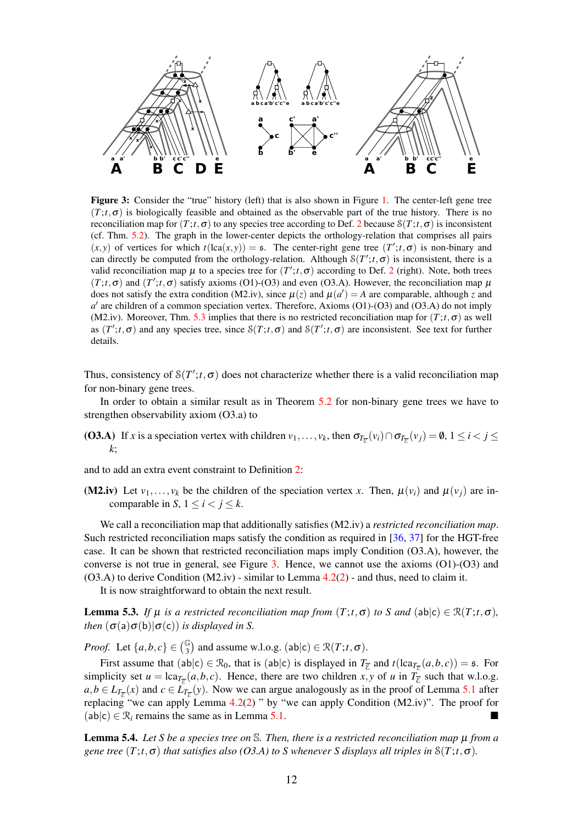<span id="page-11-0"></span>

Figure 3: Consider the "true" history (left) that is also shown in Figure [1.](#page-3-0) The center-left gene tree  $(T; t, \sigma)$  is biologically feasible and obtained as the observable part of the true history. There is no reconciliation map for  $(T; t, \sigma)$  to any species tree according to Def. [2](#page-5-0) because  $S(T; t, \sigma)$  is inconsistent (cf. Thm. [5.2\)](#page-10-1). The graph in the lower-center depicts the orthology-relation that comprises all pairs  $(x, y)$  of vertices for which  $t(\text{lea}(x, y)) = \mathfrak{s}$ . The center-right gene tree  $(T'; t, \sigma)$  is non-binary and can directly be computed from the orthology-relation. Although  $S(T';t, \sigma)$  is inconsistent, there is a valid reconciliation map  $\mu$  to a species tree for  $(T';t,\sigma)$  according to Def. [2](#page-5-0) (right). Note, both trees  $(T; t, \sigma)$  and  $(T'; t, \sigma)$  satisfy axioms (O1)-(O3) and even (O3.A). However, the reconciliation map  $\mu$ does not satisfy the extra condition (M2.iv), since  $\mu(z)$  and  $\mu(a') = A$  are comparable, although *z* and  $a'$  are children of a common speciation vertex. Therefore, Axioms (O1)-(O3) and (O3.A) do not imply (M2.iv). Moreover, Thm. [5.3](#page-12-0) implies that there is no restricted reconciliation map for  $(T;t,\sigma)$  as well as  $(T';t,\sigma)$  and any species tree, since  $\mathcal{S}(T;t,\sigma)$  and  $\mathcal{S}(T';t,\sigma)$  are inconsistent. See text for further details.

Thus, consistency of  $\mathcal{S}(T';t,\sigma)$  does not characterize whether there is a valid reconciliation map for non-binary gene trees.

In order to obtain a similar result as in Theorem [5.2](#page-10-1) for non-binary gene trees we have to strengthen observability axiom (O3.a) to

(**O3.A**) If *x* is a speciation vertex with children  $v_1, \ldots, v_k$ , then  $\sigma_{T_{\overline{E}}}(v_i) \cap \sigma_{T_{\overline{E}}}(v_j) = \emptyset$ ,  $1 \le i < j \le n$ *k*;

and to add an extra event constraint to Definition [2:](#page-5-0)

(M2.iv) Let  $v_1, \ldots, v_k$  be the children of the speciation vertex *x*. Then,  $\mu(v_i)$  and  $\mu(v_i)$  are incomparable in *S*,  $1 \le i \le j \le k$ .

We call a reconciliation map that additionally satisfies (M2.iv) a *restricted reconciliation map*. Such restricted reconciliation maps satisfy the condition as required in [\[36,](#page-18-7) [37\]](#page-18-4) for the HGT-free case. It can be shown that restricted reconciliation maps imply Condition (O3.A), however, the converse is not true in general, see Figure [3.](#page-11-0) Hence, we cannot use the axioms  $(O1)-(O3)$  and  $(O3.A)$  to derive Condition  $(M2.iv)$  - similar to Lemma  $4.2(2)$  - and thus, need to claim it.

It is now straightforward to obtain the next result.

**Lemma 5.3.** *If*  $\mu$  *is a restricted reconciliation map from*  $(T;t,\sigma)$  *to S* and  $(abc) \in \mathcal{R}(T;t,\sigma)$ *, then*  $(\sigma(a)\sigma(b)|\sigma(c))$  *is displayed in S.* 

*Proof.* Let  $\{a,b,c\} \in \binom{\mathbb{G}}{3}$  and assume w.l.o.g.  $(ab|c) \in \mathcal{R}(T; t, \sigma)$ .

First assume that  $(ab|c) \in \mathcal{R}_0$ , that is  $(ab|c)$  is displayed in  $T_{\overline{\mathcal{E}}}$  and  $t(lca_{T_{\overline{\mathcal{E}}}}(a,b,c)) = \mathfrak{s}$ . For simplicity set  $u = \text{lca}_{T_{\overline{\mathcal{E}}}}(a,b,c)$ . Hence, there are two children *x*, *y* of *u* in  $T_{\overline{\mathcal{E}}}$  such that w.l.o.g.  $a, b \in L_{T_{\overline{\mathcal{E}}}}(x)$  and  $c \in L_{T_{\overline{\mathcal{E}}}}(y)$ . Now we can argue analogously as in the proof of Lemma [5.1](#page-8-1) after replacing "we can apply Lemma  $4.2(2)$  " by "we can apply Condition (M2.iv)". The proof for  $(ab|c) \in \mathcal{R}_i$  remains the same as in Lemma [5.1.](#page-8-1)

<span id="page-11-1"></span>Lemma 5.4. *Let S be a species tree on* S*. Then, there is a restricted reconciliation map* µ *from a gene tree*  $(T; t, \sigma)$  *that satisfies also (O3.A) to S whenever S displays all triples in*  $S(T; t, \sigma)$ *.*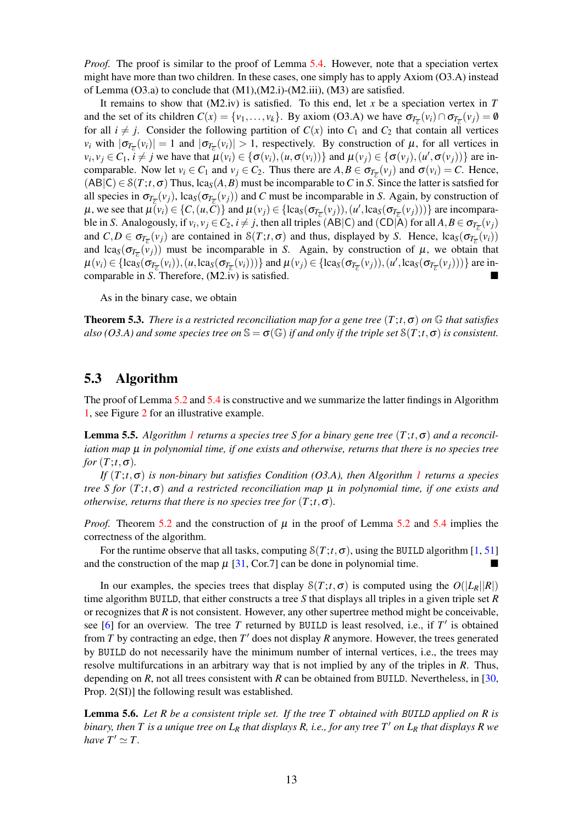*Proof.* The proof is similar to the proof of Lemma [5.4.](#page-11-1) However, note that a speciation vertex might have more than two children. In these cases, one simply has to apply Axiom (O3.A) instead of Lemma (O3.a) to conclude that (M1),(M2.i)-(M2.iii), (M3) are satisfied.

It remains to show that  $(M2.iv)$  is satisfied. To this end, let x be a speciation vertex in T and the set of its children  $C(x) = \{v_1, \ldots, v_k\}$ . By axiom (O3.A) we have  $\sigma_{T_{\overline{\mathcal{E}}}}(v_i) \cap \sigma_{T_{\overline{\mathcal{E}}}}(v_j) = \emptyset$ for all  $i \neq j$ . Consider the following partition of  $C(x)$  into  $C_1$  and  $C_2$  that contain all vertices *v<sub>i</sub>* with  $|\sigma_{T_{\overline{\mathcal{E}}}}(v_i)| = 1$  and  $|\sigma_{T_{\overline{\mathcal{E}}}}(v_i)| > 1$ , respectively. By construction of  $\mu$ , for all vertices in  $v_i, v_j \in C_1$ ,  $i \neq j$  we have that  $\mu(v_i) \in {\{\sigma(v_i), (u, \sigma(v_i))\}}$  and  $\mu(v_j) \in {\{\sigma(v_j), (u', \sigma(v_j))\}}$  are incomparable. Now let  $v_i \in C_1$  and  $v_j \in C_2$ . Thus there are  $A, B \in \sigma_{T_{\overline{C}}}(v_j)$  and  $\sigma(v_i) = C$ . Hence,  $(AB|C) \in \mathcal{S}(T; t, \sigma)$  Thus, lca<sub>S</sub> $(A, B)$  must be incomparable to *C* in *S*. Since the latter is satsfied for all species in  $\sigma_{T_{\overline{E}}}(v_j)$ , lca<sub>*S*</sub>( $\sigma_{T_{\overline{E}}}(v_j)$ ) and *C* must be incomparable in *S*. Again, by construction of  $\mu$ , we see that  $\mu(\nu_i) \in \{C, (u, \tilde{C})\}$  and  $\mu(\nu_j) \in \{\text{lcas}(\sigma_{T_{\overline{\mathcal{E}}}}(\nu_j)), (u', \text{lcas}(\sigma_{T_{\overline{\mathcal{E}}}}(\nu_j)))\}$  are incomparable in *S*. Analogously, if  $v_i, v_j \in C_2$ ,  $i \neq j$ , then all triples (AB|C) and (CD|A) for all  $A, B \in \sigma_{T_{\overline{E}}}(v_j)$ and  $C, D \in \sigma_{T_{\overline{\epsilon}}}(v_j)$  are contained in  $\mathcal{S}(T; t, \sigma)$  and thus, displayed by *S*. Hence,  $lca_S(\sigma_{T_{\overline{\epsilon}}}(v_i))$ and  $lca_S(\sigma_{T_{\overline{\epsilon}}}(v_j))$  must be incomparable in *S*. Again, by construction of  $\mu$ , we obtain that  $\mu(v_i) \in \{\text{lca}_{\text{S}}(\sigma_{T_{\overline{\epsilon}}}(v_i)), (u, \text{lca}_{\text{S}}(\sigma_{T_{\overline{\epsilon}}}(v_i)))\}$  and  $\mu(v_j) \in \{\text{lca}_{\text{S}}(\sigma_{T_{\overline{\epsilon}}}(v_j)), (u', \text{lca}_{\text{S}}(\sigma_{T_{\overline{\epsilon}}}(v_j)))\}$  are incomparable in *S*. Therefore, (M2.iv) is satisfied.

As in the binary case, we obtain

<span id="page-12-0"></span>**Theorem 5.3.** *There is a restricted reconciliation map for a gene tree*  $(T;t,\sigma)$  *on*  $\mathbb G$  *that satisfies also (O3.A) and some species tree on*  $\mathbb{S} = \sigma(\mathbb{G})$  *if and only if the triple set*  $S(T; t, \sigma)$  *is consistent.* 

#### 5.3 Algorithm

The proof of Lemma [5.2](#page-8-2) and [5.4](#page-11-1) is constructive and we summarize the latter findings in Algorithm [1,](#page-13-1) see Figure [2](#page-7-0) for an illustrative example.

**Lemma 5.5.** *Algorithm [1](#page-13-1) returns a species tree S for a binary gene tree*  $(T; t, \sigma)$  *and a reconciliation map* µ *in polynomial time, if one exists and otherwise, returns that there is no species tree for*  $(T; t, \sigma)$ *.* 

*If* (*T*;*t*,σ) *is non-binary but satisfies Condition (O3.A), then Algorithm [1](#page-13-1) returns a species tree S for* (*T*;*t*,σ) *and a restricted reconciliation map* µ *in polynomial time, if one exists and otherwise, returns that there is no species tree for*  $(T; t, \sigma)$ *.* 

*Proof.* Theorem [5.2](#page-8-2) and the construction of  $\mu$  in the proof of Lemma 5.2 and [5.4](#page-11-1) implies the correctness of the algorithm.

For the runtime observe that all tasks, computing  $S(T; t, \sigma)$ , using the BUILD algorithm [\[1,](#page-16-7) [51\]](#page-19-10) and the construction of the map  $\mu$  [\[31,](#page-18-3) Cor.7] can be done in polynomial time.

In our examples, the species trees that display  $S(T; t, \sigma)$  is computed using the  $O(|L_R||R|)$ time algorithm BUILD, that either constructs a tree *S* that displays all triples in a given triple set *R* or recognizes that  $R$  is not consistent. However, any other supertree method might be conceivable, see  $[6]$  for an overview. The tree *T* returned by BUILD is least resolved, i.e., if  $T'$  is obtained from  $T$  by contracting an edge, then  $T'$  does not display  $R$  anymore. However, the trees generated by BUILD do not necessarily have the minimum number of internal vertices, i.e., the trees may resolve multifurcations in an arbitrary way that is not implied by any of the triples in *R*. Thus, depending on  $R$ , not all trees consistent with  $R$  can be obtained from BUILD. Nevertheless, in [\[30,](#page-18-2) Prop. 2(SI)] the following result was established.

Lemma 5.6. *Let R be a consistent triple set. If the tree T obtained with* BUILD *applied on R is binary, then T is a unique tree on*  $L_R$  *that displays R, i.e., for any tree T' on*  $L_R$  *that displays R we have*  $T' \simeq T$ *.*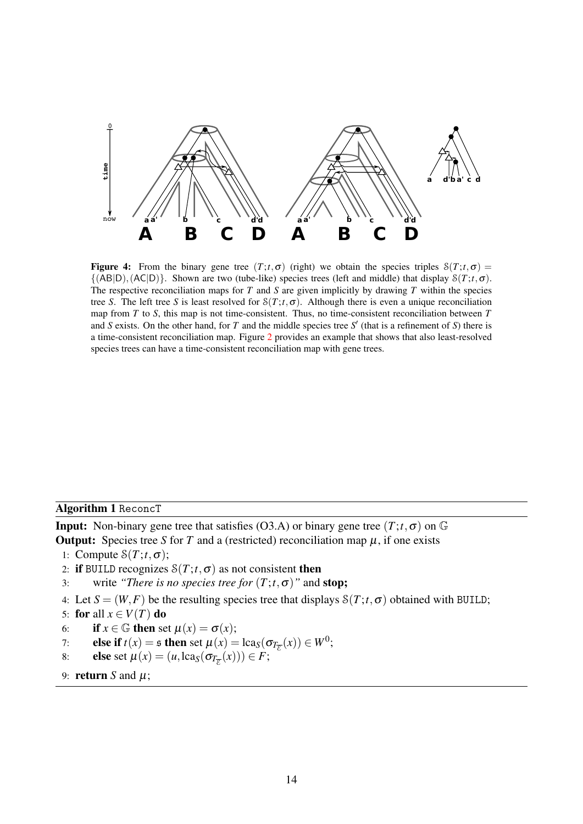<span id="page-13-0"></span>

**Figure 4:** From the binary gene tree  $(T; t, \sigma)$  (right) we obtain the species triples  $S(T; t, \sigma)$  =  $\{(AB|D), (AC|D)\}$ . Shown are two (tube-like) species trees (left and middle) that display  $\mathcal{S}(T; t, \sigma)$ . The respective reconciliation maps for *T* and *S* are given implicitly by drawing *T* within the species tree *S*. The left tree *S* is least resolved for  $S(T; t, \sigma)$ . Although there is even a unique reconciliation map from *T* to *S*, this map is not time-consistent. Thus, no time-consistent reconciliation between *T* and *S* exists. On the other hand, for *T* and the middle species tree  $S'$  (that is a refinement of *S*) there is a time-consistent reconciliation map. Figure [2](#page-7-0) provides an example that shows that also least-resolved species trees can have a time-consistent reconciliation map with gene trees.

<span id="page-13-1"></span>Algorithm 1 ReconcT

**Input:** Non-binary gene tree that satisfies (O3.A) or binary gene tree  $(T; t, \sigma)$  on  $\mathbb{G}$ 

**Output:** Species tree *S* for *T* and a (restricted) reconciliation map  $\mu$ , if one exists

- 1: Compute  $\mathcal{S}(T; t, \sigma)$ ;
- 2: if BUILD recognizes  $S(T; t, \sigma)$  as not consistent then
- 3: write *"There is no species tree for*  $(T; t, \sigma)$ " and **stop;**
- 4: Let  $S = (W, F)$  be the resulting species tree that displays  $S(T; t, \sigma)$  obtained with BUILD;
- 5: for all  $x \in V(T)$  do
- 6: if  $x \in \mathbb{G}$  then set  $\mu(x) = \sigma(x)$ ;
- 7: **else if**  $t(x) = \mathfrak{s}$  then set  $\mu(x) = \text{lcag}(\sigma_{T_{\overline{\mathcal{E}}}}(x)) \in W^0$ ;
- 8: **else** set  $\mu(x) = (u, \text{lca}_S(\sigma_{T_{\overline{E}}}(x))) \in F$ ;
- 9: **return** *S* and  $\mu$ ;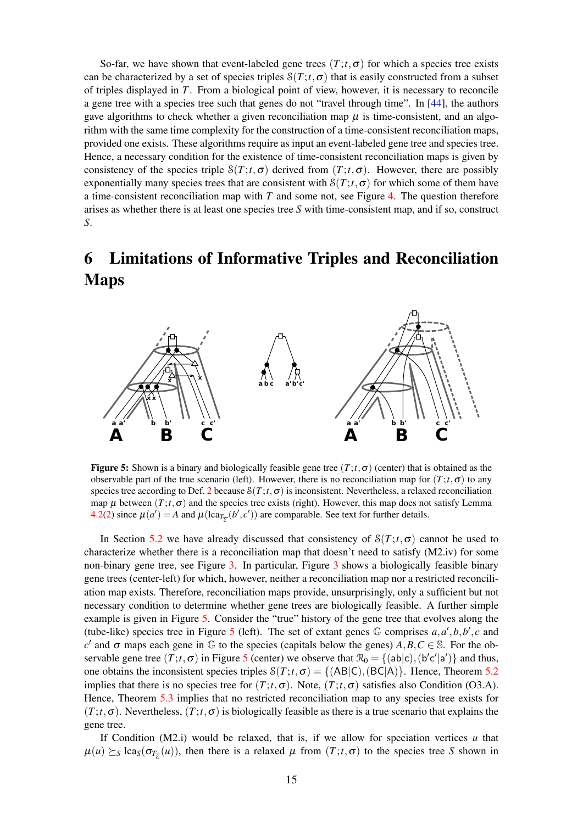So-far, we have shown that event-labeled gene trees  $(T; t, \sigma)$  for which a species tree exists can be characterized by a set of species triples  $S(T; t, \sigma)$  that is easily constructed from a subset of triples displayed in *T*. From a biological point of view, however, it is necessary to reconcile a gene tree with a species tree such that genes do not "travel through time". In [\[44\]](#page-19-13), the authors gave algorithms to check whether a given reconciliation map  $\mu$  is time-consistent, and an algorithm with the same time complexity for the construction of a time-consistent reconciliation maps, provided one exists. These algorithms require as input an event-labeled gene tree and species tree. Hence, a necessary condition for the existence of time-consistent reconciliation maps is given by consistency of the species triple  $S(T; t, \sigma)$  derived from  $(T; t, \sigma)$ . However, there are possibly exponentially many species trees that are consistent with  $S(T; t, \sigma)$  for which some of them have a time-consistent reconciliation map with *T* and some not, see Figure [4.](#page-13-0) The question therefore arises as whether there is at least one species tree *S* with time-consistent map, and if so, construct *S*.

## 6 Limitations of Informative Triples and Reconciliation Maps

<span id="page-14-0"></span>

**Figure 5:** Shown is a binary and biologically feasible gene tree  $(T; t, \sigma)$  (center) that is obtained as the observable part of the true scenario (left). However, there is no reconciliation map for  $(T; t, \sigma)$  to any species tree according to Def. [2](#page-5-0) because  $S(T; t, \sigma)$  is inconsistent. Nevertheless, a relaxed reconciliation map  $\mu$  between  $(T; t, \sigma)$  and the species tree exists (right). However, this map does not satisfy Lemma [4.2\(2\)](#page-6-0) since  $\mu(a') = A$  and  $\mu(\text{lca}_{T_{\overline{\mathcal{E}}}}(b', c'))$  are comparable. See text for further details.

In Section [5.2](#page-10-0) we have already discussed that consistency of  $S(T; t, \sigma)$  cannot be used to characterize whether there is a reconciliation map that doesn't need to satisfy (M2.iv) for some non-binary gene tree, see Figure [3.](#page-11-0) In particular, Figure [3](#page-11-0) shows a biologically feasible binary gene trees (center-left) for which, however, neither a reconciliation map nor a restricted reconciliation map exists. Therefore, reconciliation maps provide, unsurprisingly, only a sufficient but not necessary condition to determine whether gene trees are biologically feasible. A further simple example is given in Figure [5.](#page-14-0) Consider the "true" history of the gene tree that evolves along the (tube-like) species tree in Figure [5](#page-14-0) (left). The set of extant genes  $\mathbb{G}$  comprises  $a, a', b, b', c$  and  $c'$  and σ maps each gene in  $\mathbb G$  to the species (capitals below the genes)  $A, B, C \in \mathbb S$ . For the observable gene tree  $(T; t, \sigma)$  in Figure [5](#page-14-0) (center) we observe that  $\mathcal{R}_0 = \{(\text{ab}|c), (\text{b}'c'|a')\}$  and thus, one obtains the inconsistent species triples  $S(T; t, \sigma) = \{ (AB|C), (BC|A) \}$ . Hence, Theorem [5.2](#page-10-1) implies that there is no species tree for  $(T; t, \sigma)$ . Note,  $(T; t, \sigma)$  satisfies also Condition (O3.A). Hence, Theorem [5.3](#page-12-0) implies that no restricted reconciliation map to any species tree exists for  $(T; t, \sigma)$ . Nevertheless,  $(T; t, \sigma)$  is biologically feasible as there is a true scenario that explains the gene tree.

If Condition (M2.i) would be relaxed, that is, if we allow for speciation vertices *u* that  $\mu(u) \succeq_S \text{lca}_S(\sigma_{T_{\overline{\mathcal{E}}}}(u))$ , then there is a relaxed  $\mu$  from  $(T; t, \sigma)$  to the species tree *S* shown in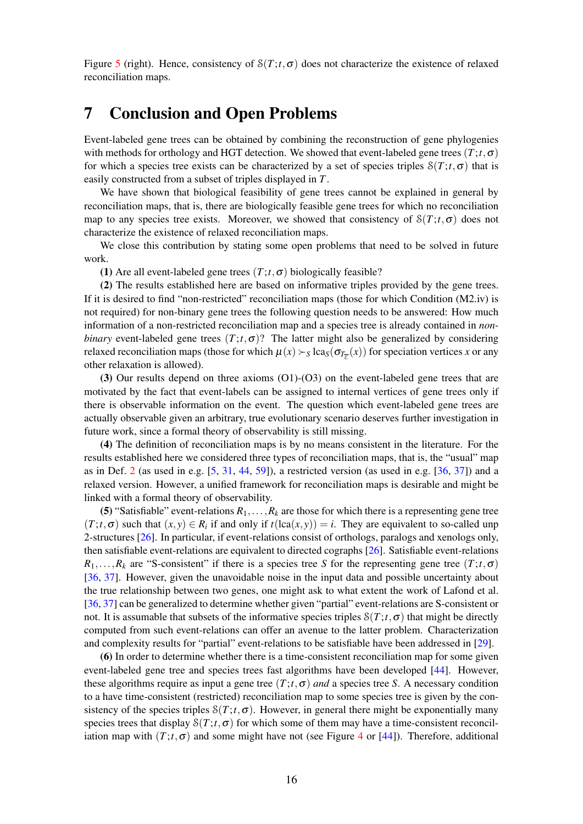Figure [5](#page-14-0) (right). Hence, consistency of  $S(T; t, \sigma)$  does not characterize the existence of relaxed reconciliation maps.

## 7 Conclusion and Open Problems

Event-labeled gene trees can be obtained by combining the reconstruction of gene phylogenies with methods for orthology and HGT detection. We showed that event-labeled gene trees  $(T; t, \sigma)$ for which a species tree exists can be characterized by a set of species triples  $S(T; t, \sigma)$  that is easily constructed from a subset of triples displayed in *T*.

We have shown that biological feasibility of gene trees cannot be explained in general by reconciliation maps, that is, there are biologically feasible gene trees for which no reconciliation map to any species tree exists. Moreover, we showed that consistency of  $S(T;t,\sigma)$  does not characterize the existence of relaxed reconciliation maps.

We close this contribution by stating some open problems that need to be solved in future work.

(1) Are all event-labeled gene trees  $(T; t, \sigma)$  biologically feasible?

(2) The results established here are based on informative triples provided by the gene trees. If it is desired to find "non-restricted" reconciliation maps (those for which Condition (M2.iv) is not required) for non-binary gene trees the following question needs to be answered: How much information of a non-restricted reconciliation map and a species tree is already contained in *nonbinary* event-labeled gene trees  $(T; t, \sigma)$ ? The latter might also be generalized by considering relaxed reconciliation maps (those for which  $\mu(x) \succ_S \text{lca}_S(\sigma_{T_{\overline{E}}}(x))$  for speciation vertices *x* or any other relaxation is allowed).

(3) Our results depend on three axioms (O1)-(O3) on the event-labeled gene trees that are motivated by the fact that event-labels can be assigned to internal vertices of gene trees only if there is observable information on the event. The question which event-labeled gene trees are actually observable given an arbitrary, true evolutionary scenario deserves further investigation in future work, since a formal theory of observability is still missing.

(4) The definition of reconciliation maps is by no means consistent in the literature. For the results established here we considered three types of reconciliation maps, that is, the "usual" map as in Def. [2](#page-5-0) (as used in e.g. [\[5,](#page-16-9) [31,](#page-18-3) [44,](#page-19-13) [59\]](#page-20-3)), a restricted version (as used in e.g. [\[36,](#page-18-7) [37\]](#page-18-4)) and a relaxed version. However, a unified framework for reconciliation maps is desirable and might be linked with a formal theory of observability.

(5) "Satisfiable" event-relations  $R_1, \ldots, R_k$  are those for which there is a representing gene tree  $(T; t, \sigma)$  such that  $(x, y) \in R_i$  if and only if  $t(\text{lca}(x, y)) = i$ . They are equivalent to so-called unp 2-structures [\[26\]](#page-17-3). In particular, if event-relations consist of orthologs, paralogs and xenologs only, then satisfiable event-relations are equivalent to directed cographs [\[26\]](#page-17-3). Satisfiable event-relations  $R_1, \ldots, R_k$  are "S-consistent" if there is a species tree *S* for the representing gene tree  $(T; t, \sigma)$ [\[36,](#page-18-7) [37\]](#page-18-4). However, given the unavoidable noise in the input data and possible uncertainty about the true relationship between two genes, one might ask to what extent the work of Lafond et al. [\[36,](#page-18-7) [37\]](#page-18-4) can be generalized to determine whether given "partial" event-relations are S-consistent or not. It is assumable that subsets of the informative species triples  $S(T; t, \sigma)$  that might be directly computed from such event-relations can offer an avenue to the latter problem. Characterization and complexity results for "partial" event-relations to be satisfiable have been addressed in [\[29\]](#page-18-14).

(6) In order to determine whether there is a time-consistent reconciliation map for some given event-labeled gene tree and species trees fast algorithms have been developed [\[44\]](#page-19-13). However, these algorithms require as input a gene tree  $(T; t, \sigma)$  *and* a species tree *S*. A necessary condition to a have time-consistent (restricted) reconciliation map to some species tree is given by the consistency of the species triples  $S(T; t, \sigma)$ . However, in general there might be exponentially many species trees that display  $S(T; t, \sigma)$  for which some of them may have a time-consistent reconciliation map with  $(T; t, \sigma)$  and some might have not (see Figure [4](#page-13-0) or [\[44\]](#page-19-13)). Therefore, additional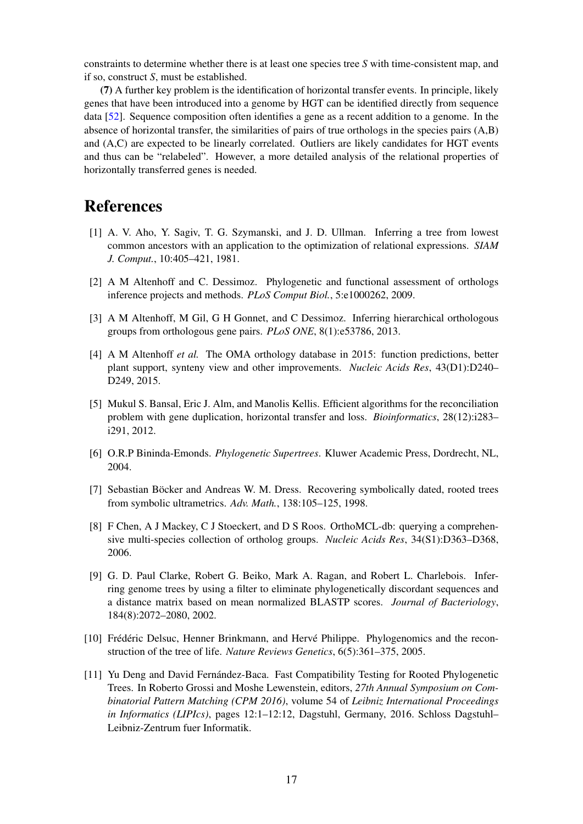constraints to determine whether there is at least one species tree *S* with time-consistent map, and if so, construct *S*, must be established.

(7) A further key problem is the identification of horizontal transfer events. In principle, likely genes that have been introduced into a genome by HGT can be identified directly from sequence data [\[52\]](#page-19-14). Sequence composition often identifies a gene as a recent addition to a genome. In the absence of horizontal transfer, the similarities of pairs of true orthologs in the species pairs (A,B) and (A,C) are expected to be linearly correlated. Outliers are likely candidates for HGT events and thus can be "relabeled". However, a more detailed analysis of the relational properties of horizontally transferred genes is needed.

## **References**

- <span id="page-16-7"></span>[1] A. V. Aho, Y. Sagiv, T. G. Szymanski, and J. D. Ullman. Inferring a tree from lowest common ancestors with an application to the optimization of relational expressions. *SIAM J. Comput.*, 10:405–421, 1981.
- <span id="page-16-2"></span>[2] A M Altenhoff and C. Dessimoz. Phylogenetic and functional assessment of orthologs inference projects and methods. *PLoS Comput Biol.*, 5:e1000262, 2009.
- [3] A M Altenhoff, M Gil, G H Gonnet, and C Dessimoz. Inferring hierarchical orthologous groups from orthologous gene pairs. *PLoS ONE*, 8(1):e53786, 2013.
- <span id="page-16-3"></span>[4] A M Altenhoff *et al.* The OMA orthology database in 2015: function predictions, better plant support, synteny view and other improvements. *Nucleic Acids Res*, 43(D1):D240– D249, 2015.
- <span id="page-16-9"></span>[5] Mukul S. Bansal, Eric J. Alm, and Manolis Kellis. Efficient algorithms for the reconciliation problem with gene duplication, horizontal transfer and loss. *Bioinformatics*, 28(12):i283– i291, 2012.
- <span id="page-16-6"></span>[6] O.R.P Bininda-Emonds. *Phylogenetic Supertrees*. Kluwer Academic Press, Dordrecht, NL, 2004.
- <span id="page-16-0"></span>[7] Sebastian Böcker and Andreas W. M. Dress. Recovering symbolically dated, rooted trees from symbolic ultrametrics. *Adv. Math.*, 138:105–125, 1998.
- <span id="page-16-4"></span>[8] F Chen, A J Mackey, C J Stoeckert, and D S Roos. OrthoMCL-db: querying a comprehensive multi-species collection of ortholog groups. *Nucleic Acids Res*, 34(S1):D363–D368, 2006.
- <span id="page-16-5"></span>[9] G. D. Paul Clarke, Robert G. Beiko, Mark A. Ragan, and Robert L. Charlebois. Inferring genome trees by using a filter to eliminate phylogenetically discordant sequences and a distance matrix based on mean normalized BLASTP scores. *Journal of Bacteriology*, 184(8):2072–2080, 2002.
- <span id="page-16-1"></span>[10] Frédéric Delsuc, Henner Brinkmann, and Hervé Philippe. Phylogenomics and the reconstruction of the tree of life. *Nature Reviews Genetics*, 6(5):361–375, 2005.
- <span id="page-16-8"></span>[11] Yu Deng and David Fernández-Baca. Fast Compatibility Testing for Rooted Phylogenetic Trees. In Roberto Grossi and Moshe Lewenstein, editors, *27th Annual Symposium on Combinatorial Pattern Matching (CPM 2016)*, volume 54 of *Leibniz International Proceedings in Informatics (LIPIcs)*, pages 12:1–12:12, Dagstuhl, Germany, 2016. Schloss Dagstuhl– Leibniz-Zentrum fuer Informatik.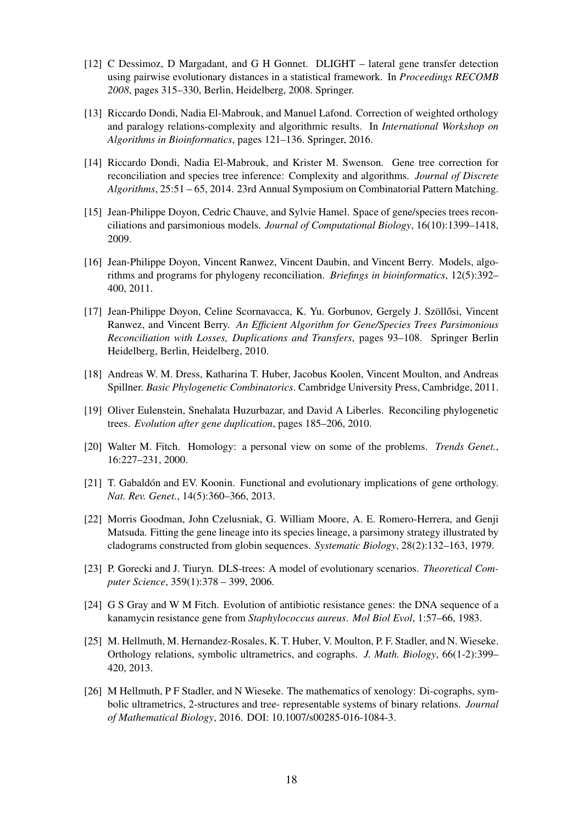- <span id="page-17-6"></span>[12] C Dessimoz, D Margadant, and G H Gonnet. DLIGHT – lateral gene transfer detection using pairwise evolutionary distances in a statistical framework. In *Proceedings RECOMB 2008*, pages 315–330, Berlin, Heidelberg, 2008. Springer.
- <span id="page-17-7"></span>[13] Riccardo Dondi, Nadia El-Mabrouk, and Manuel Lafond. Correction of weighted orthology and paralogy relations-complexity and algorithmic results. In *International Workshop on Algorithms in Bioinformatics*, pages 121–136. Springer, 2016.
- <span id="page-17-8"></span>[14] Riccardo Dondi, Nadia El-Mabrouk, and Krister M. Swenson. Gene tree correction for reconciliation and species tree inference: Complexity and algorithms. *Journal of Discrete Algorithms*, 25:51 – 65, 2014. 23rd Annual Symposium on Combinatorial Pattern Matching.
- [15] Jean-Philippe Doyon, Cedric Chauve, and Sylvie Hamel. Space of gene/species trees reconciliations and parsimonious models. *Journal of Computational Biology*, 16(10):1399–1418, 2009.
- [16] Jean-Philippe Doyon, Vincent Ranwez, Vincent Daubin, and Vincent Berry. Models, algorithms and programs for phylogeny reconciliation. *Briefings in bioinformatics*, 12(5):392– 400, 2011.
- <span id="page-17-9"></span>[17] Jean-Philippe Doyon, Celine Scornavacca, K. Yu. Gorbunov, Gergely J. Szöllősi, Vincent Ranwez, and Vincent Berry. *An Efficient Algorithm for Gene/Species Trees Parsimonious Reconciliation with Losses, Duplications and Transfers*, pages 93–108. Springer Berlin Heidelberg, Berlin, Heidelberg, 2010.
- <span id="page-17-12"></span>[18] Andreas W. M. Dress, Katharina T. Huber, Jacobus Koolen, Vincent Moulton, and Andreas Spillner. *Basic Phylogenetic Combinatorics*. Cambridge University Press, Cambridge, 2011.
- <span id="page-17-10"></span>[19] Oliver Eulenstein, Snehalata Huzurbazar, and David A Liberles. Reconciling phylogenetic trees. *Evolution after gene duplication*, pages 185–206, 2010.
- <span id="page-17-0"></span>[20] Walter M. Fitch. Homology: a personal view on some of the problems. *Trends Genet.*, 16:227–231, 2000.
- <span id="page-17-5"></span>[21] T. Gabaldón and EV. Koonin. Functional and evolutionary implications of gene orthology. *Nat. Rev. Genet.*, 14(5):360–366, 2013.
- <span id="page-17-4"></span>[22] Morris Goodman, John Czelusniak, G. William Moore, A. E. Romero-Herrera, and Genji Matsuda. Fitting the gene lineage into its species lineage, a parsimony strategy illustrated by cladograms constructed from globin sequences. *Systematic Biology*, 28(2):132–163, 1979.
- <span id="page-17-11"></span>[23] P. Gorecki and J. Tiuryn. DLS-trees: A model of evolutionary scenarios. *Theoretical Computer Science*, 359(1):378 – 399, 2006.
- <span id="page-17-1"></span>[24] G S Gray and W M Fitch. Evolution of antibiotic resistance genes: the DNA sequence of a kanamycin resistance gene from *Staphylococcus aureus*. *Mol Biol Evol*, 1:57–66, 1983.
- <span id="page-17-2"></span>[25] M. Hellmuth, M. Hernandez-Rosales, K. T. Huber, V. Moulton, P. F. Stadler, and N. Wieseke. Orthology relations, symbolic ultrametrics, and cographs. *J. Math. Biology*, 66(1-2):399– 420, 2013.
- <span id="page-17-3"></span>[26] M Hellmuth, P F Stadler, and N Wieseke. The mathematics of xenology: Di-cographs, symbolic ultrametrics, 2-structures and tree- representable systems of binary relations. *Journal of Mathematical Biology*, 2016. DOI: 10.1007/s00285-016-1084-3.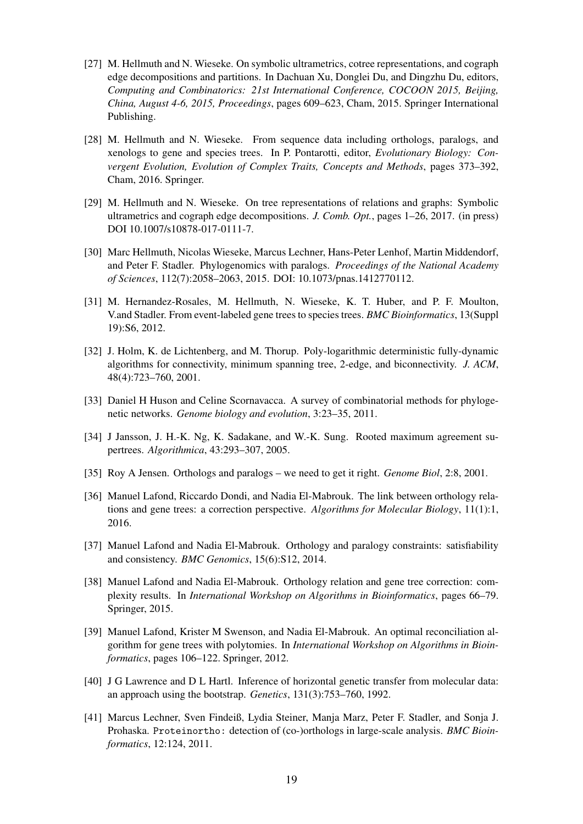- <span id="page-18-13"></span>[27] M. Hellmuth and N. Wieseke. On symbolic ultrametrics, cotree representations, and cograph edge decompositions and partitions. In Dachuan Xu, Donglei Du, and Dingzhu Du, editors, *Computing and Combinatorics: 21st International Conference, COCOON 2015, Beijing, China, August 4-6, 2015, Proceedings*, pages 609–623, Cham, 2015. Springer International Publishing.
- <span id="page-18-1"></span>[28] M. Hellmuth and N. Wieseke. From sequence data including orthologs, paralogs, and xenologs to gene and species trees. In P. Pontarotti, editor, *Evolutionary Biology: Convergent Evolution, Evolution of Complex Traits, Concepts and Methods*, pages 373–392, Cham, 2016. Springer.
- <span id="page-18-14"></span>[29] M. Hellmuth and N. Wieseke. On tree representations of relations and graphs: Symbolic ultrametrics and cograph edge decompositions. *J. Comb. Opt.*, pages 1–26, 2017. (in press) DOI 10.1007/s10878-017-0111-7.
- <span id="page-18-2"></span>[30] Marc Hellmuth, Nicolas Wieseke, Marcus Lechner, Hans-Peter Lenhof, Martin Middendorf, and Peter F. Stadler. Phylogenomics with paralogs. *Proceedings of the National Academy of Sciences*, 112(7):2058–2063, 2015. DOI: 10.1073/pnas.1412770112.
- <span id="page-18-3"></span>[31] M. Hernandez-Rosales, M. Hellmuth, N. Wieseke, K. T. Huber, and P. F. Moulton, V.and Stadler. From event-labeled gene trees to species trees. *BMC Bioinformatics*, 13(Suppl 19):S6, 2012.
- <span id="page-18-11"></span>[32] J. Holm, K. de Lichtenberg, and M. Thorup. Poly-logarithmic deterministic fully-dynamic algorithms for connectivity, minimum spanning tree, 2-edge, and biconnectivity. *J. ACM*, 48(4):723–760, 2001.
- <span id="page-18-9"></span>[33] Daniel H Huson and Celine Scornavacca. A survey of combinatorial methods for phylogenetic networks. *Genome biology and evolution*, 3:23–35, 2011.
- <span id="page-18-12"></span>[34] J Jansson, J. H.-K. Ng, K. Sadakane, and W.-K. Sung. Rooted maximum agreement supertrees. *Algorithmica*, 43:293–307, 2005.
- <span id="page-18-0"></span>[35] Roy A Jensen. Orthologs and paralogs – we need to get it right. *Genome Biol*, 2:8, 2001.
- <span id="page-18-7"></span>[36] Manuel Lafond, Riccardo Dondi, and Nadia El-Mabrouk. The link between orthology relations and gene trees: a correction perspective. *Algorithms for Molecular Biology*, 11(1):1, 2016.
- <span id="page-18-4"></span>[37] Manuel Lafond and Nadia El-Mabrouk. Orthology and paralogy constraints: satisfiability and consistency. *BMC Genomics*, 15(6):S12, 2014.
- <span id="page-18-8"></span>[38] Manuel Lafond and Nadia El-Mabrouk. Orthology relation and gene tree correction: complexity results. In *International Workshop on Algorithms in Bioinformatics*, pages 66–79. Springer, 2015.
- <span id="page-18-10"></span>[39] Manuel Lafond, Krister M Swenson, and Nadia El-Mabrouk. An optimal reconciliation algorithm for gene trees with polytomies. In *International Workshop on Algorithms in Bioinformatics*, pages 106–122. Springer, 2012.
- <span id="page-18-6"></span>[40] J G Lawrence and D L Hartl. Inference of horizontal genetic transfer from molecular data: an approach using the bootstrap. *Genetics*, 131(3):753–760, 1992.
- <span id="page-18-5"></span>[41] Marcus Lechner, Sven Findeiß, Lydia Steiner, Manja Marz, Peter F. Stadler, and Sonja J. Prohaska. Proteinortho: detection of (co-)orthologs in large-scale analysis. *BMC Bioinformatics*, 12:124, 2011.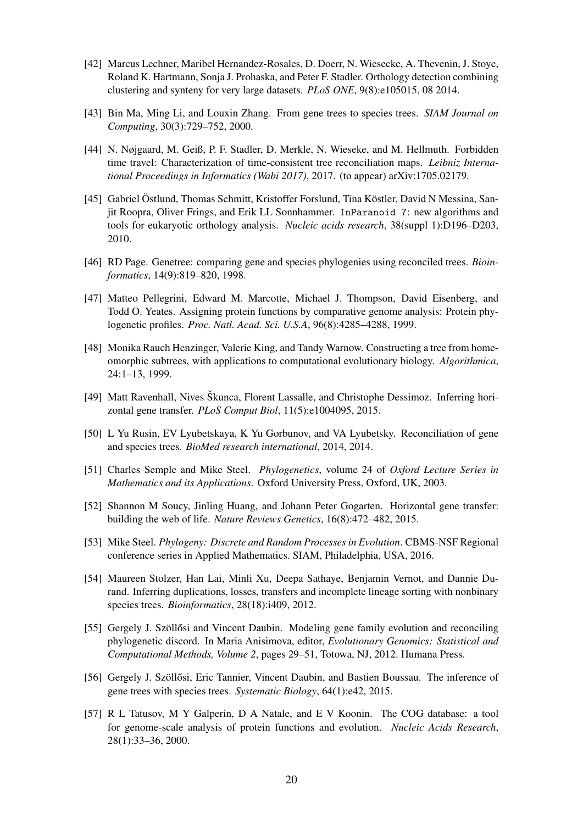- <span id="page-19-1"></span>[42] Marcus Lechner, Maribel Hernandez-Rosales, D. Doerr, N. Wiesecke, A. Thevenin, J. Stoye, Roland K. Hartmann, Sonja J. Prohaska, and Peter F. Stadler. Orthology detection combining clustering and synteny for very large datasets. *PLoS ONE*, 9(8):e105015, 08 2014.
- <span id="page-19-5"></span>[43] Bin Ma, Ming Li, and Louxin Zhang. From gene trees to species trees. *SIAM Journal on Computing*, 30(3):729–752, 2000.
- <span id="page-19-13"></span>[44] N. Nøjgaard, M. Geiß, P. F. Stadler, D. Merkle, N. Wieseke, and M. Hellmuth. Forbidden time travel: Characterization of time-consistent tree reconciliation maps. *Leibniz International Proceedings in Informatics (Wabi 2017)*, 2017. (to appear) arXiv:1705.02179.
- <span id="page-19-2"></span>[45] Gabriel Östlund, Thomas Schmitt, Kristoffer Forslund, Tina Köstler, David N Messina, Sanjit Roopra, Oliver Frings, and Erik LL Sonnhammer. InParanoid 7: new algorithms and tools for eukaryotic orthology analysis. *Nucleic acids research*, 38(suppl 1):D196–D203, 2010.
- <span id="page-19-6"></span>[46] RD Page. Genetree: comparing gene and species phylogenies using reconciled trees. *Bioinformatics*, 14(9):819–820, 1998.
- <span id="page-19-3"></span>[47] Matteo Pellegrini, Edward M. Marcotte, Michael J. Thompson, David Eisenberg, and Todd O. Yeates. Assigning protein functions by comparative genome analysis: Protein phylogenetic profiles. *Proc. Natl. Acad. Sci. U.S.A*, 96(8):4285–4288, 1999.
- <span id="page-19-12"></span>[48] Monika Rauch Henzinger, Valerie King, and Tandy Warnow. Constructing a tree from homeomorphic subtrees, with applications to computational evolutionary biology. *Algorithmica*, 24:1–13, 1999.
- <span id="page-19-4"></span>[49] Matt Ravenhall, Nives Škunca, Florent Lassalle, and Christophe Dessimoz. Inferring horizontal gene transfer. *PLoS Comput Biol*, 11(5):e1004095, 2015.
- <span id="page-19-7"></span>[50] L Yu Rusin, EV Lyubetskaya, K Yu Gorbunov, and VA Lyubetsky. Reconciliation of gene and species trees. *BioMed research international*, 2014, 2014.
- <span id="page-19-10"></span>[51] Charles Semple and Mike Steel. *Phylogenetics*, volume 24 of *Oxford Lecture Series in Mathematics and its Applications*. Oxford University Press, Oxford, UK, 2003.
- <span id="page-19-14"></span>[52] Shannon M Soucy, Jinling Huang, and Johann Peter Gogarten. Horizontal gene transfer: building the web of life. *Nature Reviews Genetics*, 16(8):472–482, 2015.
- <span id="page-19-11"></span>[53] Mike Steel. *Phylogeny: Discrete and Random Processes in Evolution*. CBMS-NSF Regional conference series in Applied Mathematics. SIAM, Philadelphia, USA, 2016.
- <span id="page-19-8"></span>[54] Maureen Stolzer, Han Lai, Minli Xu, Deepa Sathaye, Benjamin Vernot, and Dannie Durand. Inferring duplications, losses, transfers and incomplete lineage sorting with nonbinary species trees. *Bioinformatics*, 28(18):i409, 2012.
- [55] Gergely J. Szöllősi and Vincent Daubin. Modeling gene family evolution and reconciling phylogenetic discord. In Maria Anisimova, editor, *Evolutionary Genomics: Statistical and Computational Methods, Volume 2*, pages 29–51, Totowa, NJ, 2012. Humana Press.
- <span id="page-19-9"></span>[56] Gergely J. Szöllősi, Eric Tannier, Vincent Daubin, and Bastien Boussau. The inference of gene trees with species trees. *Systematic Biology*, 64(1):e42, 2015.
- <span id="page-19-0"></span>[57] R L Tatusov, M Y Galperin, D A Natale, and E V Koonin. The COG database: a tool for genome-scale analysis of protein functions and evolution. *Nucleic Acids Research*, 28(1):33–36, 2000.